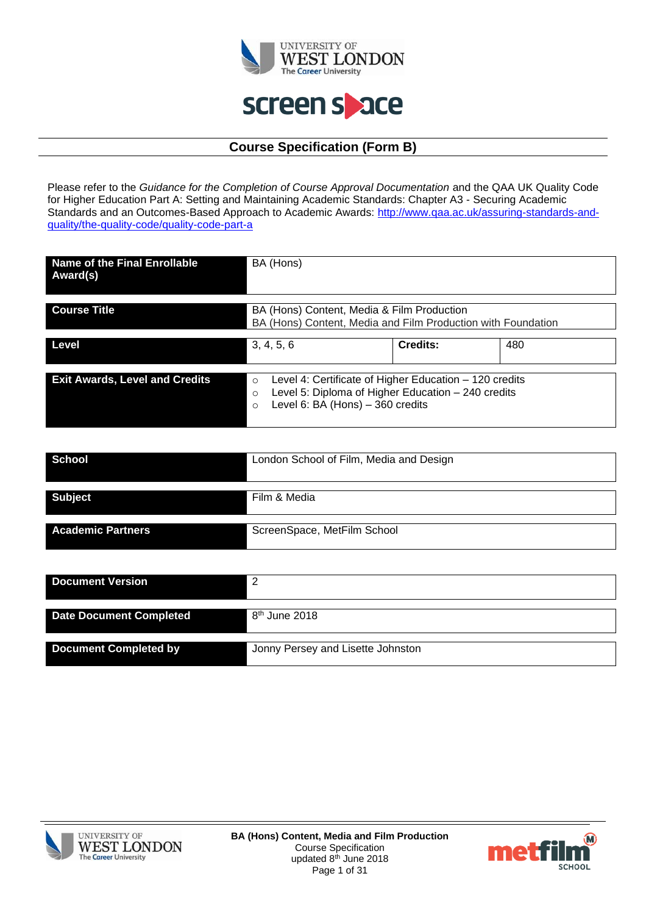



# **Course Specification (Form B)**

Please refer to the *Guidance for the Completion of Course Approval Documentation* and the QAA UK Quality Code for Higher Education Part A: Setting and Maintaining Academic Standards: Chapter A3 - Securing Academic Standards and an Outcomes-Based Approach to Academic Awards: [http://www.qaa.ac.uk/assuring-standards-and](http://www.qaa.ac.uk/assuring-standards-and-quality/the-quality-code/quality-code-part-a)[quality/the-quality-code/quality-code-part-a](http://www.qaa.ac.uk/assuring-standards-and-quality/the-quality-code/quality-code-part-a)

| <b>Name of the Final Enrollable</b><br>Award(s) | BA (Hons)                                                                                                  |                                                                                                                                                  |     |  |
|-------------------------------------------------|------------------------------------------------------------------------------------------------------------|--------------------------------------------------------------------------------------------------------------------------------------------------|-----|--|
| <b>Course Title</b>                             | BA (Hons) Content, Media & Film Production<br>BA (Hons) Content, Media and Film Production with Foundation |                                                                                                                                                  |     |  |
| Level                                           | 3, 4, 5, 6                                                                                                 | Credits:                                                                                                                                         | 480 |  |
| <b>Exit Awards, Level and Credits</b>           | $\circ$<br>$\circ$<br>$\circ$                                                                              | Level 4: Certificate of Higher Education - 120 credits<br>Level 5: Diploma of Higher Education - 240 credits<br>Level 6: BA (Hons) - 360 credits |     |  |

| <b>School</b>            | London School of Film, Media and Design |
|--------------------------|-----------------------------------------|
| <b>Subject</b>           | Film & Media                            |
| <b>Academic Partners</b> | ScreenSpace, MetFilm School             |

| <b>Document Version</b>        | 2                                 |
|--------------------------------|-----------------------------------|
| <b>Date Document Completed</b> | 8 <sup>th</sup> June 2018         |
| <b>Document Completed by</b>   | Jonny Persey and Lisette Johnston |



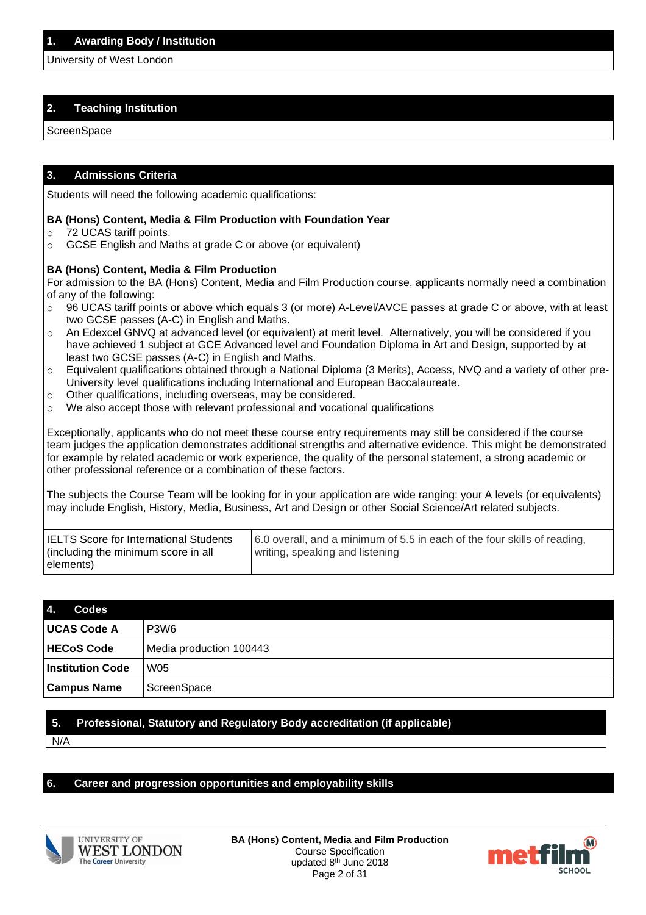# **1. Awarding Body / Institution**

University of West London

# **2. Teaching Institution**

**ScreenSpace** 

### **3. Admissions Criteria**

Students will need the following academic qualifications:

#### **BA (Hons) Content, Media & Film Production with Foundation Year**

- o 72 UCAS tariff points.
- o GCSE English and Maths at grade C or above (or equivalent)

#### **BA (Hons) Content, Media & Film Production**

For admission to the BA (Hons) Content, Media and Film Production course, applicants normally need a combination of any of the following:

- $\circ$  96 UCAS tariff points or above which equals 3 (or more) A-Level/AVCE passes at grade C or above, with at least two GCSE passes (A-C) in English and Maths.
- o An Edexcel GNVQ at advanced level (or equivalent) at merit level. Alternatively, you will be considered if you have achieved 1 subject at GCE Advanced level and Foundation Diploma in Art and Design, supported by at least two GCSE passes (A-C) in English and Maths.
- o Equivalent qualifications obtained through a National Diploma (3 Merits), Access, NVQ and a variety of other pre-University level qualifications including International and European Baccalaureate.
- o Other qualifications, including overseas, may be considered.
- $\circ$  We also accept those with relevant professional and vocational qualifications

Exceptionally, applicants who do not meet these course entry requirements may still be considered if the course team judges the application demonstrates additional strengths and alternative evidence. This might be demonstrated for example by related academic or work experience, the quality of the personal statement, a strong academic or other professional reference or a combination of these factors.

The subjects the Course Team will be looking for in your application are wide ranging: your A levels (or equivalents) may include English, History, Media, Business, Art and Design or other Social Science/Art related subjects.

| <b>IELTS Score for International Students</b><br>(including the minimum score in all | [6.0 overall, and a minimum of 5.5 in each of the four skills of reading,<br>writing, speaking and listening |
|--------------------------------------------------------------------------------------|--------------------------------------------------------------------------------------------------------------|
| elements)                                                                            |                                                                                                              |

| 4.<br><b>Codes</b>      |                         |
|-------------------------|-------------------------|
| <b>UCAS Code A</b>      | P3W6                    |
| <b>HECoS Code</b>       | Media production 100443 |
| <b>Institution Code</b> | <b>W05</b>              |
| <b>Campus Name</b>      | ScreenSpace             |

### **5. Professional, Statutory and Regulatory Body accreditation (if applicable)**

N/A

### **6. Career and progression opportunities and employability skills**



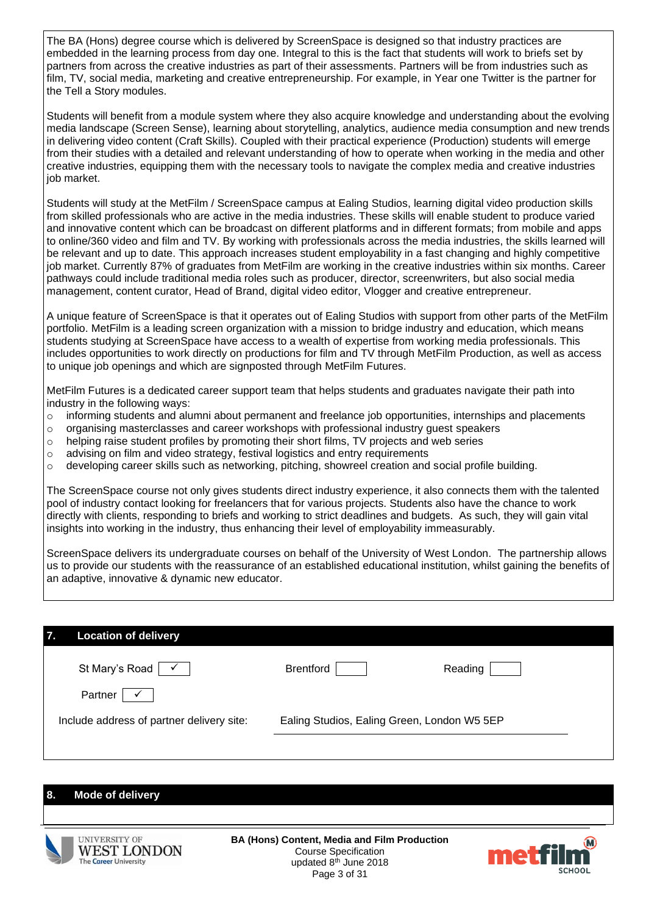The BA (Hons) degree course which is delivered by ScreenSpace is designed so that industry practices are embedded in the learning process from day one. Integral to this is the fact that students will work to briefs set by partners from across the creative industries as part of their assessments. Partners will be from industries such as film, TV, social media, marketing and creative entrepreneurship. For example, in Year one Twitter is the partner for the Tell a Story modules.

Students will benefit from a module system where they also acquire knowledge and understanding about the evolving media landscape (Screen Sense), learning about storytelling, analytics, audience media consumption and new trends in delivering video content (Craft Skills). Coupled with their practical experience (Production) students will emerge from their studies with a detailed and relevant understanding of how to operate when working in the media and other creative industries, equipping them with the necessary tools to navigate the complex media and creative industries job market.

Students will study at the MetFilm / ScreenSpace campus at Ealing Studios, learning digital video production skills from skilled professionals who are active in the media industries. These skills will enable student to produce varied and innovative content which can be broadcast on different platforms and in different formats; from mobile and apps to online/360 video and film and TV. By working with professionals across the media industries, the skills learned will be relevant and up to date. This approach increases student employability in a fast changing and highly competitive job market. Currently 87% of graduates from MetFilm are working in the creative industries within six months. Career pathways could include traditional media roles such as producer, director, screenwriters, but also social media management, content curator, Head of Brand, digital video editor, Vlogger and creative entrepreneur.

A unique feature of ScreenSpace is that it operates out of Ealing Studios with support from other parts of the MetFilm portfolio. MetFilm is a leading screen organization with a mission to bridge industry and education, which means students studying at ScreenSpace have access to a wealth of expertise from working media professionals. This includes opportunities to work directly on productions for film and TV through MetFilm Production, as well as access to unique job openings and which are signposted through MetFilm Futures.

MetFilm Futures is a dedicated career support team that helps students and graduates navigate their path into industry in the following ways:

- o informing students and alumni about permanent and freelance job opportunities, internships and placements o organising masterclasses and career workshops with professional industry quest speakers
- o organising masterclasses and career workshops with professional industry guest speakers
- o helping raise student profiles by promoting their short films, TV projects and web series
- o advising on film and video strategy, festival logistics and entry requirements
- $\circ$  developing career skills such as networking, pitching, showreel creation and social profile building.

The ScreenSpace course not only gives students direct industry experience, it also connects them with the talented pool of industry contact looking for freelancers that for various projects. Students also have the chance to work directly with clients, responding to briefs and working to strict deadlines and budgets. As such, they will gain vital insights into working in the industry, thus enhancing their level of employability immeasurably.

ScreenSpace delivers its undergraduate courses on behalf of the University of West London. The partnership allows us to provide our students with the reassurance of an established educational institution, whilst gaining the benefits of an adaptive, innovative & dynamic new educator.

| $\overline{7}$ .<br><b>Location of delivery</b> |                                             |         |  |
|-------------------------------------------------|---------------------------------------------|---------|--|
| St Mary's Road                                  | Brentford                                   | Reading |  |
| Partner                                         |                                             |         |  |
| Include address of partner delivery site:       | Ealing Studios, Ealing Green, London W5 5EP |         |  |
|                                                 |                                             |         |  |

### **8. Mode of delivery**



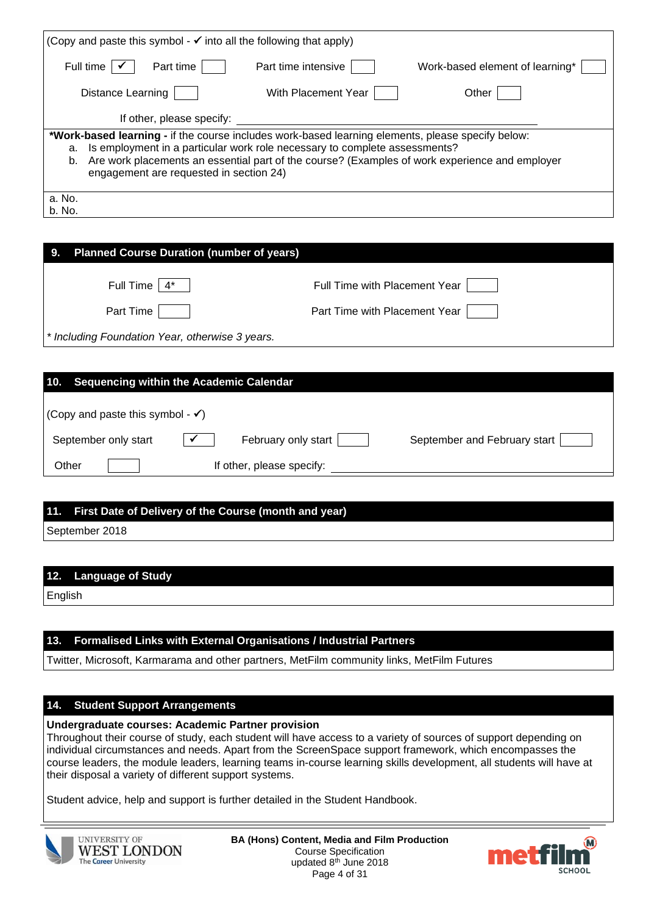| (Copy and paste this symbol - $\checkmark$ into all the following that apply)    |                                                                                                |                                                                                                   |                                 |  |  |
|----------------------------------------------------------------------------------|------------------------------------------------------------------------------------------------|---------------------------------------------------------------------------------------------------|---------------------------------|--|--|
| Full time                                                                        | Part time                                                                                      | Part time intensive                                                                               | Work-based element of learning* |  |  |
|                                                                                  | Distance Learning                                                                              | With Placement Year                                                                               | Other                           |  |  |
|                                                                                  | If other, please specify:                                                                      |                                                                                                   |                                 |  |  |
|                                                                                  |                                                                                                | *Work-based learning - if the course includes work-based learning elements, please specify below: |                                 |  |  |
| Is employment in a particular work role necessary to complete assessments?<br>a. |                                                                                                |                                                                                                   |                                 |  |  |
| b.                                                                               | Are work placements an essential part of the course? (Examples of work experience and employer |                                                                                                   |                                 |  |  |
|                                                                                  | engagement are requested in section 24)                                                        |                                                                                                   |                                 |  |  |
| a. No.                                                                           |                                                                                                |                                                                                                   |                                 |  |  |
| b. No.                                                                           |                                                                                                |                                                                                                   |                                 |  |  |

| 9. Planned Course Duration (number of years)    |                               |
|-------------------------------------------------|-------------------------------|
| Full Time   4*                                  | Full Time with Placement Year |
| Part Time                                       | Part Time with Placement Year |
| * Including Foundation Year, otherwise 3 years. |                               |
|                                                 |                               |

| 10. Sequencing within the Academic Calendar |                           |                              |  |  |
|---------------------------------------------|---------------------------|------------------------------|--|--|
| $(Copy and paste this symbol - \checkmark)$ |                           |                              |  |  |
| September only start                        | February only start       | September and February start |  |  |
| Other                                       | If other, please specify: |                              |  |  |

### **11. First Date of Delivery of the Course (month and year)**

September 2018

### **12. Language of Study**

English

# **13. Formalised Links with External Organisations / Industrial Partners**

Twitter, Microsoft, Karmarama and other partners, MetFilm community links, MetFilm Futures

### **14. Student Support Arrangements**

# **Undergraduate courses: Academic Partner provision**

Throughout their course of study, each student will have access to a variety of sources of support depending on individual circumstances and needs. Apart from the ScreenSpace support framework, which encompasses the course leaders, the module leaders, learning teams in-course learning skills development, all students will have at their disposal a variety of different support systems.

Student advice, help and support is further detailed in the Student Handbook.



UNIVERSITY OF **WEST LONDON** The Career University

**BA (Hons) Content, Media and Film Production** Course Specification updated 8<sup>th</sup> June 2018 Page 4 of 31

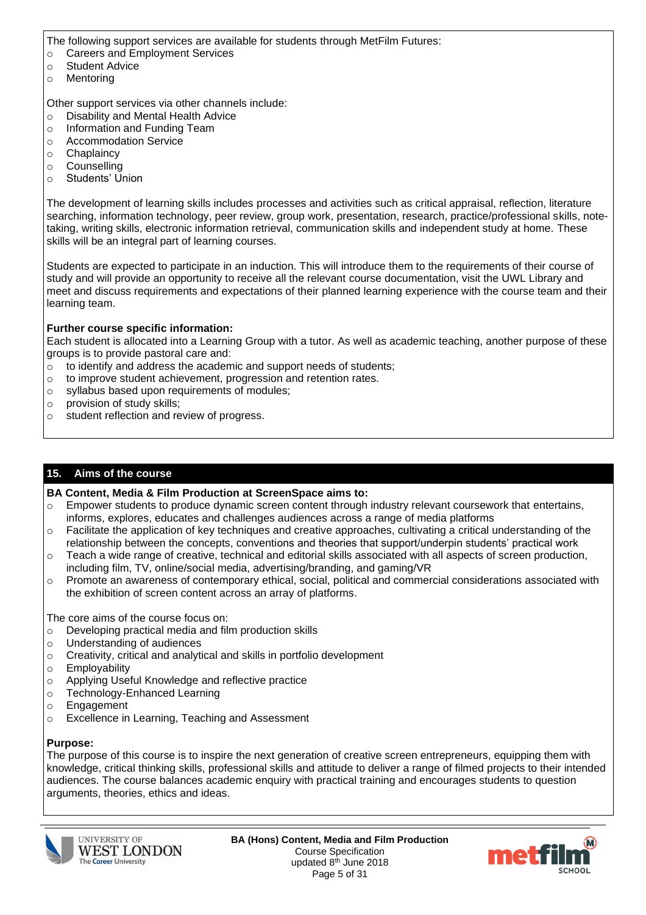The following support services are available for students through MetFilm Futures:

- o Careers and Employment Services
- o Student Advice
- o Mentoring

Other support services via other channels include:

- o Disability and Mental Health Advice
- o Information and Funding Team
- o Accommodation Service
- o Chaplaincy
- o Counselling
- o Students' Union

The development of learning skills includes processes and activities such as critical appraisal, reflection, literature searching, information technology, peer review, group work, presentation, research, practice/professional skills, notetaking, writing skills, electronic information retrieval, communication skills and independent study at home. These skills will be an integral part of learning courses.

Students are expected to participate in an induction. This will introduce them to the requirements of their course of study and will provide an opportunity to receive all the relevant course documentation, visit the UWL Library and meet and discuss requirements and expectations of their planned learning experience with the course team and their learning team.

### **Further course specific information:**

Each student is allocated into a Learning Group with a tutor. As well as academic teaching, another purpose of these groups is to provide pastoral care and:

- o to identify and address the academic and support needs of students;
- o to improve student achievement, progression and retention rates.
- o syllabus based upon requirements of modules;
- o provision of study skills;
- o student reflection and review of progress.

# **15. Aims of the course**

### **BA Content, Media & Film Production at ScreenSpace aims to:**

- o Empower students to produce dynamic screen content through industry relevant coursework that entertains, informs, explores, educates and challenges audiences across a range of media platforms
- $\circ$  Facilitate the application of key techniques and creative approaches, cultivating a critical understanding of the relationship between the concepts, conventions and theories that support/underpin students' practical work
- $\circ$  Teach a wide range of creative, technical and editorial skills associated with all aspects of screen production, including film, TV, online/social media, advertising/branding, and gaming/VR
- o Promote an awareness of contemporary ethical, social, political and commercial considerations associated with the exhibition of screen content across an array of platforms.

The core aims of the course focus on:

- o Developing practical media and film production skills
- o Understanding of audiences
- o Creativity, critical and analytical and skills in portfolio development
- o Employability
- o Applying Useful Knowledge and reflective practice
- o Technology-Enhanced Learning
- o Engagement
- o Excellence in Learning, Teaching and Assessment

### **Purpose:**

The purpose of this course is to inspire the next generation of creative screen entrepreneurs, equipping them with knowledge, critical thinking skills, professional skills and attitude to deliver a range of filmed projects to their intended audiences. The course balances academic enquiry with practical training and encourages students to question arguments, theories, ethics and ideas.



**BA (Hons) Content, Media and Film Production** Course Specification updated 8<sup>th</sup> June 2018 Page 5 of 31

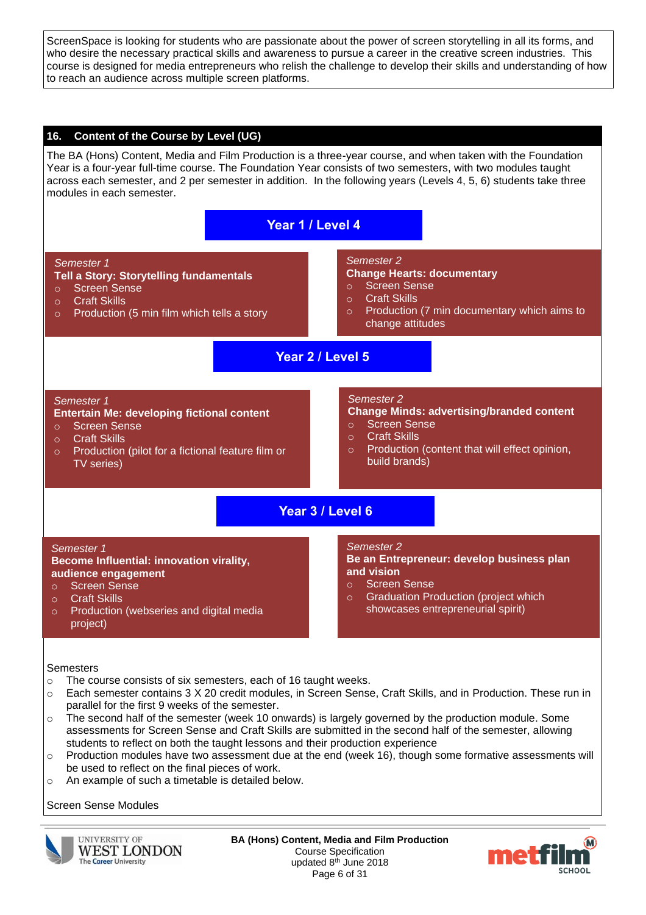ScreenSpace is looking for students who are passionate about the power of screen storytelling in all its forms, and who desire the necessary practical skills and awareness to pursue a career in the creative screen industries. This course is designed for media entrepreneurs who relish the challenge to develop their skills and understanding of how to reach an audience across multiple screen platforms.

### **16. Content of the Course by Level (UG)**

The BA (Hons) Content, Media and Film Production is a three-year course, and when taken with the Foundation Year is a four-year full-time course. The Foundation Year consists of two semesters, with two modules taught across each semester, and 2 per semester in addition. In the following years (Levels 4, 5, 6) students take three modules in each semester.

# **Year 1 / Level 4**

#### *Semester 1*

**Tell a Story: Storytelling fundamentals**

- o Screen Sense
- o Craft Skills
- o Production (5 min film which tells a story

#### *Semester 2*

**Change Hearts: documentary**

- o Screen Sense
- o Craft Skills
- o Production (7 min documentary which aims to change attitudes

**Year 2 / Level 5**

#### *Semester 1*

#### **Entertain Me: developing fictional content**

- o Screen Sense
- o Craft Skills
- o Production (pilot for a fictional feature film or TV series)

#### *Semester 2*

**Change Minds: advertising/branded content** 

- o Screen Sense
- o Craft Skills
- o Production (content that will effect opinion, build brands)
- **Year 3 / Level 6**

#### *Semester 1*

#### **Become Influential: innovation virality, audience engagement**

- o Screen Sense
- o Craft Skills
- o Production (webseries and digital media project)

#### *Semester 2*

**Be an Entrepreneur: develop business plan and vision**

- o Screen Sense
- o Graduation Production (project which showcases entrepreneurial spirit)

#### **Semesters**

- o The course consists of six semesters, each of 16 taught weeks.
- o Each semester contains 3 X 20 credit modules, in Screen Sense, Craft Skills, and in Production. These run in parallel for the first 9 weeks of the semester.
- o The second half of the semester (week 10 onwards) is largely governed by the production module. Some assessments for Screen Sense and Craft Skills are submitted in the second half of the semester, allowing students to reflect on both the taught lessons and their production experience
- $\circ$  Production modules have two assessment due at the end (week 16), though some formative assessments will be used to reflect on the final pieces of work.
- o An example of such a timetable is detailed below.

### Screen Sense Modules



**BA (Hons) Content, Media and Film Production** Course Specification updated 8<sup>th</sup> June 2018 Page 6 of 31

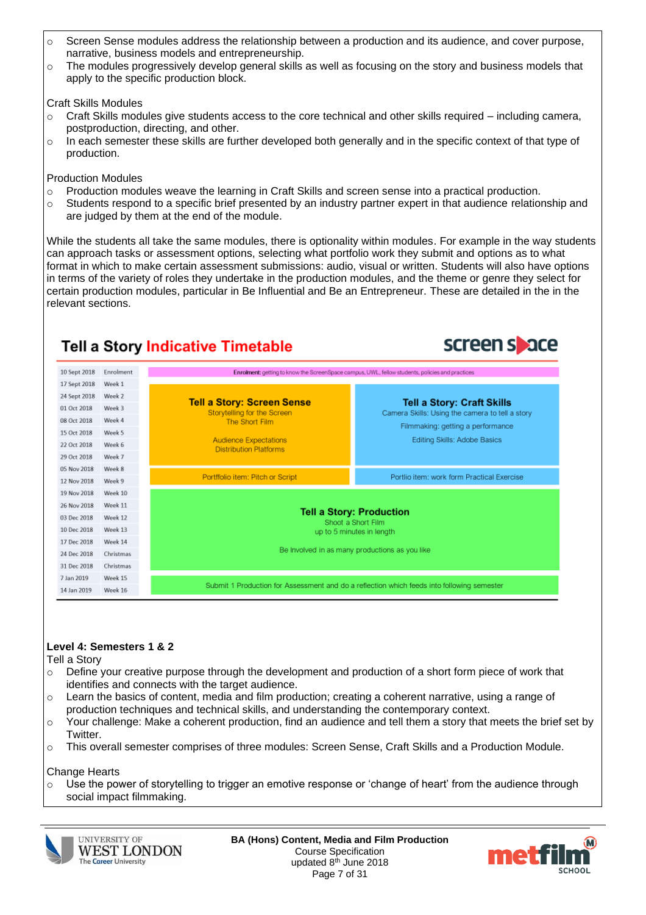- $\circ$  Screen Sense modules address the relationship between a production and its audience, and cover purpose, narrative, business models and entrepreneurship.
- $\circ$  The modules progressively develop general skills as well as focusing on the story and business models that apply to the specific production block.

Craft Skills Modules

- $\circ$  Craft Skills modules give students access to the core technical and other skills required including camera, postproduction, directing, and other.
- o In each semester these skills are further developed both generally and in the specific context of that type of production.

Production Modules

- o Production modules weave the learning in Craft Skills and screen sense into a practical production.
- $\circ$  Students respond to a specific brief presented by an industry partner expert in that audience relationship and are judged by them at the end of the module.

While the students all take the same modules, there is optionality within modules. For example in the way students can approach tasks or assessment options, selecting what portfolio work they submit and options as to what format in which to make certain assessment submissions: audio, visual or written. Students will also have options in terms of the variety of roles they undertake in the production modules, and the theme or genre they select for certain production modules, particular in Be Influential and Be an Entrepreneur. These are detailed in the in the relevant sections.

# **Tell a Story Indicative Timetable**



# **Level 4: Semesters 1 & 2**

Tell a Story

- $\circ$  Define your creative purpose through the development and production of a short form piece of work that identifies and connects with the target audience.
- $\circ$  Learn the basics of content, media and film production; creating a coherent narrative, using a range of production techniques and technical skills, and understanding the contemporary context.
- $\circ$  Your challenge: Make a coherent production, find an audience and tell them a story that meets the brief set by Twitter.
- o This overall semester comprises of three modules: Screen Sense, Craft Skills and a Production Module.

### Change Hearts

 $\circ$  Use the power of storytelling to trigger an emotive response or 'change of heart' from the audience through social impact filmmaking.





screen s**pace**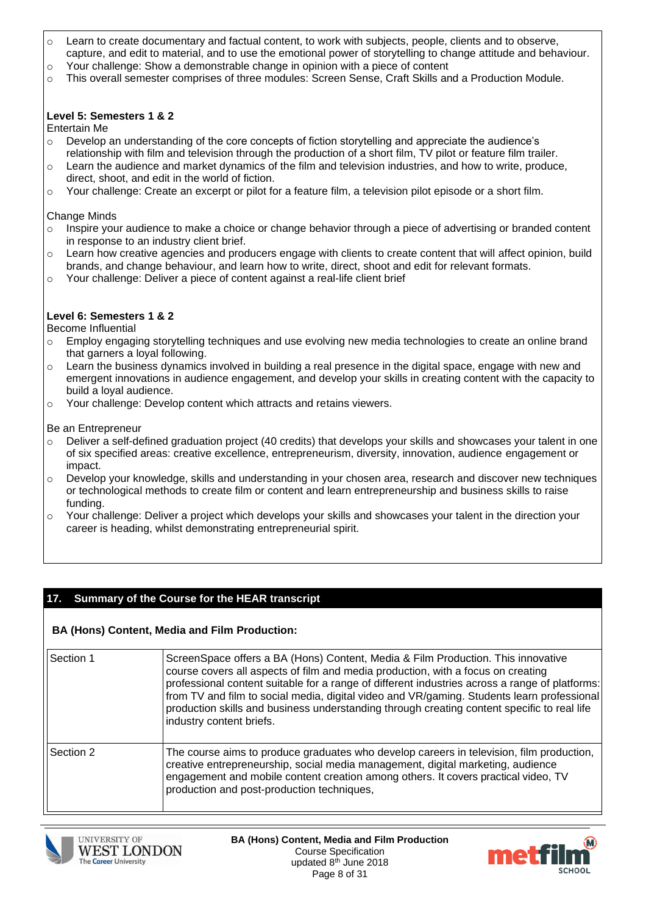- o Learn to create documentary and factual content, to work with subjects, people, clients and to observe, capture, and edit to material, and to use the emotional power of storytelling to change attitude and behaviour.
- o Your challenge: Show a demonstrable change in opinion with a piece of content
- o This overall semester comprises of three modules: Screen Sense, Craft Skills and a Production Module.

# **Level 5: Semesters 1 & 2**

Entertain Me

- $\circ$  Develop an understanding of the core concepts of fiction storytelling and appreciate the audience's relationship with film and television through the production of a short film, TV pilot or feature film trailer.
- $\circ$  Learn the audience and market dynamics of the film and television industries, and how to write, produce, direct, shoot, and edit in the world of fiction.
- o Your challenge: Create an excerpt or pilot for a feature film, a television pilot episode or a short film.

Change Minds

- $\circ$  Inspire your audience to make a choice or change behavior through a piece of advertising or branded content in response to an industry client brief.
- $\circ$  Learn how creative agencies and producers engage with clients to create content that will affect opinion, build brands, and change behaviour, and learn how to write, direct, shoot and edit for relevant formats.
- o Your challenge: Deliver a piece of content against a real-life client brief

### **Level 6: Semesters 1 & 2**

Become Influential

- o Employ engaging storytelling techniques and use evolving new media technologies to create an online brand that garners a loyal following.
- $\circ$  Learn the business dynamics involved in building a real presence in the digital space, engage with new and emergent innovations in audience engagement, and develop your skills in creating content with the capacity to build a loyal audience.
- o Your challenge: Develop content which attracts and retains viewers.

Be an Entrepreneur

- o Deliver a self-defined graduation project (40 credits) that develops your skills and showcases your talent in one of six specified areas: creative excellence, entrepreneurism, diversity, innovation, audience engagement or impact.
- o Develop your knowledge, skills and understanding in your chosen area, research and discover new techniques or technological methods to create film or content and learn entrepreneurship and business skills to raise funding.
- o Your challenge: Deliver a project which develops your skills and showcases your talent in the direction your career is heading, whilst demonstrating entrepreneurial spirit.

### **17. Summary of the Course for the HEAR transcript**

### **BA (Hons) Content, Media and Film Production:**

| Section 1 | ScreenSpace offers a BA (Hons) Content, Media & Film Production. This innovative<br>course covers all aspects of film and media production, with a focus on creating<br>professional content suitable for a range of different industries across a range of platforms:<br>from TV and film to social media, digital video and VR/gaming. Students learn professional<br>production skills and business understanding through creating content specific to real life<br>industry content briefs. |
|-----------|-------------------------------------------------------------------------------------------------------------------------------------------------------------------------------------------------------------------------------------------------------------------------------------------------------------------------------------------------------------------------------------------------------------------------------------------------------------------------------------------------|
| Section 2 | The course aims to produce graduates who develop careers in television, film production,<br>creative entrepreneurship, social media management, digital marketing, audience<br>engagement and mobile content creation among others. It covers practical video, TV<br>production and post-production techniques,                                                                                                                                                                                 |



**BA (Hons) Content, Media and Film Production** Course Specification updated 8<sup>th</sup> June 2018 Page 8 of 31

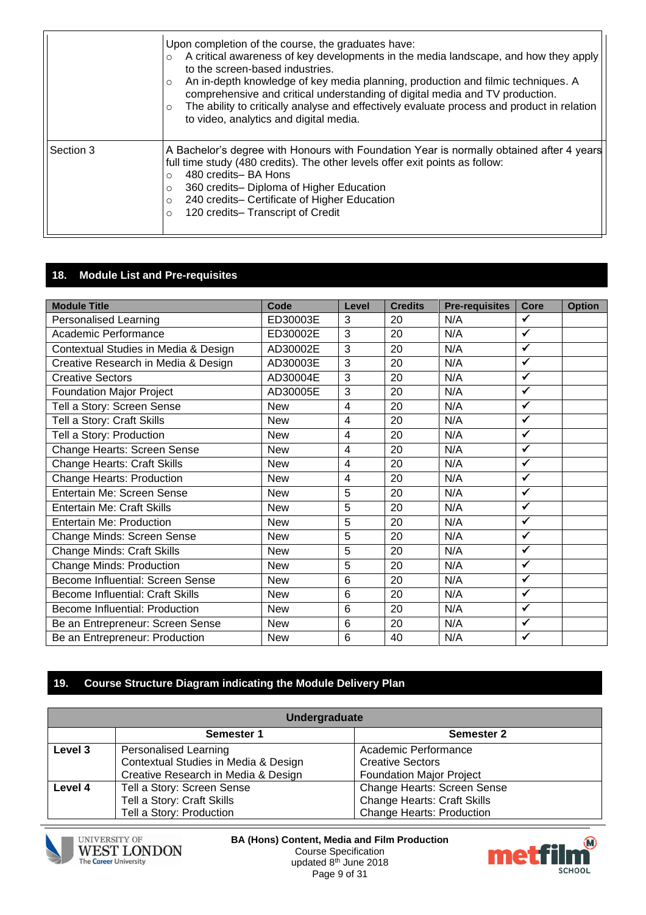|           | Upon completion of the course, the graduates have:<br>A critical awareness of key developments in the media landscape, and how they apply<br>O<br>to the screen-based industries.<br>An in-depth knowledge of key media planning, production and filmic techniques. A<br>O<br>comprehensive and critical understanding of digital media and TV production.<br>The ability to critically analyse and effectively evaluate process and product in relation<br>$\circ$<br>to video, analytics and digital media. |
|-----------|---------------------------------------------------------------------------------------------------------------------------------------------------------------------------------------------------------------------------------------------------------------------------------------------------------------------------------------------------------------------------------------------------------------------------------------------------------------------------------------------------------------|
| Section 3 | A Bachelor's degree with Honours with Foundation Year is normally obtained after 4 years<br>full time study (480 credits). The other levels offer exit points as follow:<br>480 credits- BA Hons<br>$\Omega$<br>360 credits- Diploma of Higher Education<br>O<br>240 credits- Certificate of Higher Education<br>O<br>120 credits- Transcript of Credit<br>Ω                                                                                                                                                  |

# **18. Module List and Pre-requisites**

| <b>Module Title</b>                     | Code       | Level           | <b>Credits</b> | <b>Pre-requisites</b> | Core                 | <b>Option</b> |
|-----------------------------------------|------------|-----------------|----------------|-----------------------|----------------------|---------------|
| Personalised Learning                   | ED30003E   | 3               | 20             | N/A                   | ✓                    |               |
| Academic Performance                    | ED30002E   | 3               | 20             | N/A                   | $\checkmark$         |               |
| Contextual Studies in Media & Design    | AD30002E   | 3               | 20             | N/A                   | $\checkmark$         |               |
| Creative Research in Media & Design     | AD30003E   | 3               | 20             | N/A                   | $\blacktriangledown$ |               |
| <b>Creative Sectors</b>                 | AD30004E   | 3               | 20             | N/A                   | $\checkmark$         |               |
| <b>Foundation Major Project</b>         | AD30005E   | 3               | 20             | N/A                   | $\checkmark$         |               |
| Tell a Story: Screen Sense              | <b>New</b> | $\overline{4}$  | 20             | N/A                   | $\checkmark$         |               |
| Tell a Story: Craft Skills              | <b>New</b> | 4               | 20             | N/A                   | $\mathbf{v}$         |               |
| Tell a Story: Production                | <b>New</b> | 4               | 20             | N/A                   | $\checkmark$         |               |
| Change Hearts: Screen Sense             | <b>New</b> | $\overline{4}$  | 20             | N/A                   | $\checkmark$         |               |
| <b>Change Hearts: Craft Skills</b>      | <b>New</b> | $\overline{4}$  | 20             | N/A                   | $\checkmark$         |               |
| <b>Change Hearts: Production</b>        | <b>New</b> | 4               | 20             | N/A                   | $\checkmark$         |               |
| Entertain Me: Screen Sense              | <b>New</b> | 5               | 20             | N/A                   | $\checkmark$         |               |
| <b>Entertain Me: Craft Skills</b>       | <b>New</b> | 5               | 20             | N/A                   | $\checkmark$         |               |
| Entertain Me: Production                | <b>New</b> | 5               | 20             | N/A                   | $\checkmark$         |               |
| Change Minds: Screen Sense              | <b>New</b> | 5               | 20             | N/A                   | $\checkmark$         |               |
| <b>Change Minds: Craft Skills</b>       | <b>New</b> | 5               | 20             | N/A                   | $\checkmark$         |               |
| <b>Change Minds: Production</b>         | <b>New</b> | 5               | 20             | N/A                   | $\checkmark$         |               |
| Become Influential: Screen Sense        | <b>New</b> | 6               | 20             | N/A                   | $\checkmark$         |               |
| <b>Become Influential: Craft Skills</b> | <b>New</b> | 6               | 20             | N/A                   | $\checkmark$         |               |
| Become Influential: Production          | <b>New</b> | 6               | 20             | N/A                   | $\checkmark$         |               |
| Be an Entrepreneur: Screen Sense        | <b>New</b> | $6\phantom{1}6$ | 20             | N/A                   | $\checkmark$         |               |
| Be an Entrepreneur: Production          | <b>New</b> | 6               | 40             | N/A                   | $\checkmark$         |               |

# **19. Course Structure Diagram indicating the Module Delivery Plan**

| <b>Undergraduate</b>            |                                      |                                    |  |  |  |  |  |
|---------------------------------|--------------------------------------|------------------------------------|--|--|--|--|--|
| Semester 1<br><b>Semester 2</b> |                                      |                                    |  |  |  |  |  |
| Level 3                         | <b>Personalised Learning</b>         | Academic Performance               |  |  |  |  |  |
|                                 | Contextual Studies in Media & Design | <b>Creative Sectors</b>            |  |  |  |  |  |
|                                 | Creative Research in Media & Design  | <b>Foundation Major Project</b>    |  |  |  |  |  |
| Level 4                         | Tell a Story: Screen Sense           | Change Hearts: Screen Sense        |  |  |  |  |  |
| Tell a Story: Craft Skills      |                                      | <b>Change Hearts: Craft Skills</b> |  |  |  |  |  |
|                                 | Tell a Story: Production             | <b>Change Hearts: Production</b>   |  |  |  |  |  |



**BA (Hons) Content, Media and Film Production** Course Specification updated 8<sup>th</sup> June 2018 Page 9 of 31

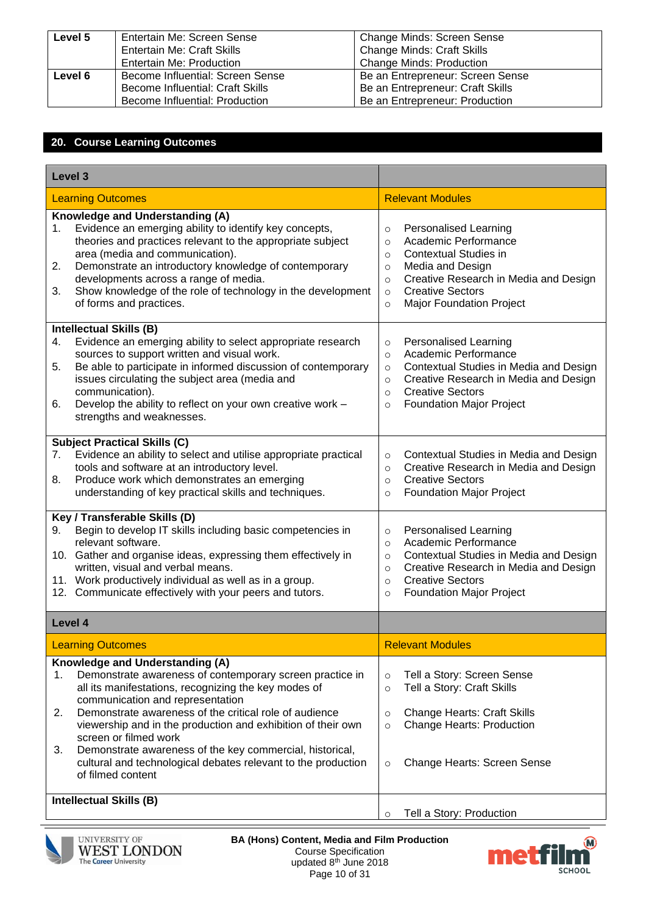| Level 5 | Entertain Me: Screen Sense       | Change Minds: Screen Sense       |  |  |
|---------|----------------------------------|----------------------------------|--|--|
|         | Entertain Me: Craft Skills       | Change Minds: Craft Skills       |  |  |
|         | <b>Entertain Me: Production</b>  | <b>Change Minds: Production</b>  |  |  |
| Level 6 | Become Influential: Screen Sense | Be an Entrepreneur: Screen Sense |  |  |
|         | Become Influential: Craft Skills | Be an Entrepreneur: Craft Skills |  |  |
|         | Become Influential: Production   | Be an Entrepreneur: Production   |  |  |

# **20. Course Learning Outcomes**

| Level 3                                                                                                                                                                                                                                                                                                                                                                                                                                                                                   |                                                                                                                                                                                                                                                                                               |
|-------------------------------------------------------------------------------------------------------------------------------------------------------------------------------------------------------------------------------------------------------------------------------------------------------------------------------------------------------------------------------------------------------------------------------------------------------------------------------------------|-----------------------------------------------------------------------------------------------------------------------------------------------------------------------------------------------------------------------------------------------------------------------------------------------|
| <b>Learning Outcomes</b>                                                                                                                                                                                                                                                                                                                                                                                                                                                                  | <b>Relevant Modules</b>                                                                                                                                                                                                                                                                       |
| Knowledge and Understanding (A)<br>Evidence an emerging ability to identify key concepts,<br>1.<br>theories and practices relevant to the appropriate subject<br>area (media and communication).<br>Demonstrate an introductory knowledge of contemporary<br>2.<br>developments across a range of media.<br>Show knowledge of the role of technology in the development<br>3.<br>of forms and practices.                                                                                  | <b>Personalised Learning</b><br>$\circ$<br>Academic Performance<br>$\Omega$<br><b>Contextual Studies in</b><br>$\circ$<br>Media and Design<br>$\circ$<br>Creative Research in Media and Design<br>$\circ$<br><b>Creative Sectors</b><br>$\circ$<br><b>Major Foundation Project</b><br>$\circ$ |
| Intellectual Skills (B)<br>Evidence an emerging ability to select appropriate research<br>4.<br>sources to support written and visual work.<br>Be able to participate in informed discussion of contemporary<br>5.<br>issues circulating the subject area (media and<br>communication).<br>Develop the ability to reflect on your own creative work -<br>6.<br>strengths and weaknesses.                                                                                                  | <b>Personalised Learning</b><br>$\circ$<br>Academic Performance<br>$\circ$<br>Contextual Studies in Media and Design<br>$\circ$<br>Creative Research in Media and Design<br>$\circ$<br><b>Creative Sectors</b><br>$\circ$<br><b>Foundation Major Project</b><br>$\circ$                       |
| <b>Subject Practical Skills (C)</b><br>Evidence an ability to select and utilise appropriate practical<br>7.<br>tools and software at an introductory level.<br>Produce work which demonstrates an emerging<br>8.<br>understanding of key practical skills and techniques.<br>Key / Transferable Skills (D)                                                                                                                                                                               | Contextual Studies in Media and Design<br>$\circ$<br>Creative Research in Media and Design<br>$\circ$<br><b>Creative Sectors</b><br>$\circ$<br><b>Foundation Major Project</b><br>$\circ$                                                                                                     |
| Begin to develop IT skills including basic competencies in<br>9.<br>relevant software.<br>10. Gather and organise ideas, expressing them effectively in<br>written, visual and verbal means.<br>11. Work productively individual as well as in a group.<br>12. Communicate effectively with your peers and tutors.                                                                                                                                                                        | <b>Personalised Learning</b><br>$\circ$<br>Academic Performance<br>$\Omega$<br>Contextual Studies in Media and Design<br>$\circ$<br>Creative Research in Media and Design<br>$\circ$<br><b>Creative Sectors</b><br>$\circ$<br><b>Foundation Major Project</b><br>$\circ$                      |
| Level 4                                                                                                                                                                                                                                                                                                                                                                                                                                                                                   |                                                                                                                                                                                                                                                                                               |
| <b>Learning Outcomes</b>                                                                                                                                                                                                                                                                                                                                                                                                                                                                  | <b>Relevant Modules</b>                                                                                                                                                                                                                                                                       |
| Knowledge and Understanding (A)<br>Demonstrate awareness of contemporary screen practice in<br>1.<br>all its manifestations, recognizing the key modes of<br>communication and representation<br>Demonstrate awareness of the critical role of audience<br>2.<br>viewership and in the production and exhibition of their own<br>screen or filmed work<br>3.<br>Demonstrate awareness of the key commercial, historical,<br>cultural and technological debates relevant to the production | Tell a Story: Screen Sense<br>$\circ$<br>Tell a Story: Craft Skills<br>$\circ$<br><b>Change Hearts: Craft Skills</b><br>$\circ$<br><b>Change Hearts: Production</b><br>$\circ$                                                                                                                |
| of filmed content<br><b>Intellectual Skills (B)</b>                                                                                                                                                                                                                                                                                                                                                                                                                                       | Change Hearts: Screen Sense<br>$\circ$<br>Tell a Story: Production<br>$\circ$                                                                                                                                                                                                                 |



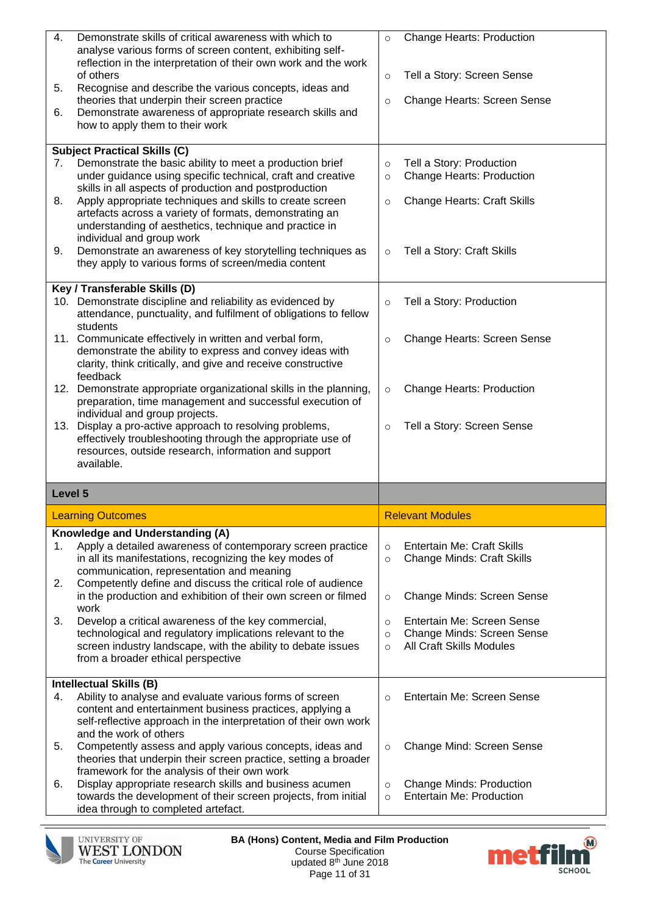| 4.<br>5.<br>6. | Demonstrate skills of critical awareness with which to<br>analyse various forms of screen content, exhibiting self-<br>reflection in the interpretation of their own work and the work<br>of others<br>Recognise and describe the various concepts, ideas and<br>theories that underpin their screen practice<br>Demonstrate awareness of appropriate research skills and<br>how to apply them to their work | $\circ$<br>$\circ$<br>$\circ$ | <b>Change Hearts: Production</b><br>Tell a Story: Screen Sense<br><b>Change Hearts: Screen Sense</b> |
|----------------|--------------------------------------------------------------------------------------------------------------------------------------------------------------------------------------------------------------------------------------------------------------------------------------------------------------------------------------------------------------------------------------------------------------|-------------------------------|------------------------------------------------------------------------------------------------------|
|                |                                                                                                                                                                                                                                                                                                                                                                                                              |                               |                                                                                                      |
| 7.             | <b>Subject Practical Skills (C)</b><br>Demonstrate the basic ability to meet a production brief<br>under guidance using specific technical, craft and creative<br>skills in all aspects of production and postproduction                                                                                                                                                                                     | $\circ$<br>$\circ$            | Tell a Story: Production<br><b>Change Hearts: Production</b>                                         |
| 8.             | Apply appropriate techniques and skills to create screen<br>artefacts across a variety of formats, demonstrating an<br>understanding of aesthetics, technique and practice in<br>individual and group work                                                                                                                                                                                                   | $\circ$                       | <b>Change Hearts: Craft Skills</b>                                                                   |
| 9.             | Demonstrate an awareness of key storytelling techniques as<br>they apply to various forms of screen/media content                                                                                                                                                                                                                                                                                            | $\circ$                       | Tell a Story: Craft Skills                                                                           |
|                | Key / Transferable Skills (D)<br>10. Demonstrate discipline and reliability as evidenced by<br>attendance, punctuality, and fulfilment of obligations to fellow<br>students                                                                                                                                                                                                                                  | $\circ$                       | Tell a Story: Production                                                                             |
|                | 11. Communicate effectively in written and verbal form,<br>demonstrate the ability to express and convey ideas with<br>clarity, think critically, and give and receive constructive<br>feedback                                                                                                                                                                                                              | $\circ$                       | <b>Change Hearts: Screen Sense</b>                                                                   |
|                | 12. Demonstrate appropriate organizational skills in the planning,<br>preparation, time management and successful execution of<br>individual and group projects.                                                                                                                                                                                                                                             | $\circ$                       | Change Hearts: Production                                                                            |
|                | 13. Display a pro-active approach to resolving problems,<br>effectively troubleshooting through the appropriate use of<br>resources, outside research, information and support                                                                                                                                                                                                                               | $\circ$                       | Tell a Story: Screen Sense                                                                           |
|                | available.                                                                                                                                                                                                                                                                                                                                                                                                   |                               |                                                                                                      |
| Level 5        |                                                                                                                                                                                                                                                                                                                                                                                                              |                               |                                                                                                      |
|                | <b>Learning Outcomes</b>                                                                                                                                                                                                                                                                                                                                                                                     |                               | <b>Relevant Modules</b>                                                                              |
| 1.             | Knowledge and Understanding (A)<br>Apply a detailed awareness of contemporary screen practice<br>in all its manifestations, recognizing the key modes of<br>communication, representation and meaning                                                                                                                                                                                                        | $\circ$<br>$\circ$            | <b>Entertain Me: Craft Skills</b><br><b>Change Minds: Craft Skills</b>                               |
| 2.             | Competently define and discuss the critical role of audience<br>in the production and exhibition of their own screen or filmed<br>work                                                                                                                                                                                                                                                                       | $\circ$                       | Change Minds: Screen Sense                                                                           |
| 3.             | Develop a critical awareness of the key commercial,<br>technological and regulatory implications relevant to the<br>screen industry landscape, with the ability to debate issues<br>from a broader ethical perspective                                                                                                                                                                                       | $\circ$<br>$\circ$<br>$\circ$ | Entertain Me: Screen Sense<br>Change Minds: Screen Sense<br>All Craft Skills Modules                 |
|                | Intellectual Skills (B)                                                                                                                                                                                                                                                                                                                                                                                      |                               |                                                                                                      |
| 4.             | Ability to analyse and evaluate various forms of screen<br>content and entertainment business practices, applying a<br>self-reflective approach in the interpretation of their own work<br>and the work of others                                                                                                                                                                                            | $\circ$                       | Entertain Me: Screen Sense                                                                           |
| 5.             | Competently assess and apply various concepts, ideas and<br>theories that underpin their screen practice, setting a broader<br>framework for the analysis of their own work                                                                                                                                                                                                                                  | $\circ$                       | Change Mind: Screen Sense                                                                            |



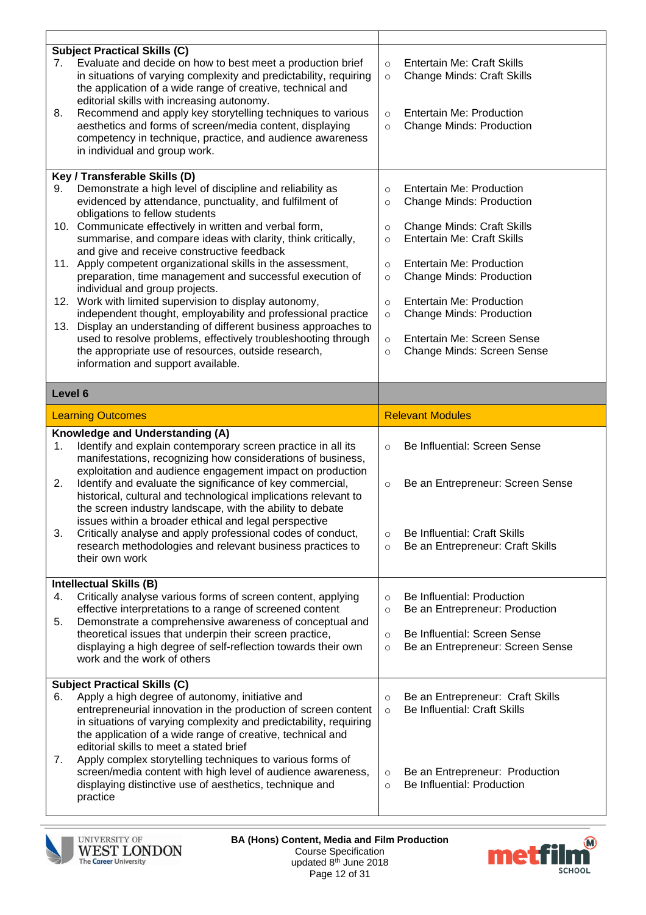| 7.<br>8.       | <b>Subject Practical Skills (C)</b><br>Evaluate and decide on how to best meet a production brief<br>in situations of varying complexity and predictability, requiring<br>the application of a wide range of creative, technical and<br>editorial skills with increasing autonomy.<br>Recommend and apply key storytelling techniques to various<br>aesthetics and forms of screen/media content, displaying<br>competency in technique, practice, and audience awareness<br>in individual and group work.                                                                                                                                                                                                                                                                                                                                                                             | $\circ$<br>$\circ$<br>$\circ$<br>$\circ$                                                                   | Entertain Me: Craft Skills<br><b>Change Minds: Craft Skills</b><br><b>Entertain Me: Production</b><br><b>Change Minds: Production</b>                                                                                                                                                                                                  |
|----------------|----------------------------------------------------------------------------------------------------------------------------------------------------------------------------------------------------------------------------------------------------------------------------------------------------------------------------------------------------------------------------------------------------------------------------------------------------------------------------------------------------------------------------------------------------------------------------------------------------------------------------------------------------------------------------------------------------------------------------------------------------------------------------------------------------------------------------------------------------------------------------------------|------------------------------------------------------------------------------------------------------------|----------------------------------------------------------------------------------------------------------------------------------------------------------------------------------------------------------------------------------------------------------------------------------------------------------------------------------------|
| 9.<br>13.      | Key / Transferable Skills (D)<br>Demonstrate a high level of discipline and reliability as<br>evidenced by attendance, punctuality, and fulfilment of<br>obligations to fellow students<br>10. Communicate effectively in written and verbal form,<br>summarise, and compare ideas with clarity, think critically,<br>and give and receive constructive feedback<br>11. Apply competent organizational skills in the assessment,<br>preparation, time management and successful execution of<br>individual and group projects.<br>12. Work with limited supervision to display autonomy,<br>independent thought, employability and professional practice<br>Display an understanding of different business approaches to<br>used to resolve problems, effectively troubleshooting through<br>the appropriate use of resources, outside research,<br>information and support available. | $\circ$<br>$\circ$<br>$\circ$<br>$\circ$<br>$\circ$<br>$\circ$<br>$\circ$<br>$\circ$<br>$\circ$<br>$\circ$ | Entertain Me: Production<br><b>Change Minds: Production</b><br><b>Change Minds: Craft Skills</b><br><b>Entertain Me: Craft Skills</b><br><b>Entertain Me: Production</b><br><b>Change Minds: Production</b><br>Entertain Me: Production<br><b>Change Minds: Production</b><br>Entertain Me: Screen Sense<br>Change Minds: Screen Sense |
| Level 6        |                                                                                                                                                                                                                                                                                                                                                                                                                                                                                                                                                                                                                                                                                                                                                                                                                                                                                        |                                                                                                            |                                                                                                                                                                                                                                                                                                                                        |
|                | <b>Learning Outcomes</b>                                                                                                                                                                                                                                                                                                                                                                                                                                                                                                                                                                                                                                                                                                                                                                                                                                                               |                                                                                                            | <b>Relevant Modules</b>                                                                                                                                                                                                                                                                                                                |
|                |                                                                                                                                                                                                                                                                                                                                                                                                                                                                                                                                                                                                                                                                                                                                                                                                                                                                                        |                                                                                                            |                                                                                                                                                                                                                                                                                                                                        |
| 1.<br>2.<br>3. | Knowledge and Understanding (A)<br>Identify and explain contemporary screen practice in all its<br>manifestations, recognizing how considerations of business,<br>exploitation and audience engagement impact on production<br>Identify and evaluate the significance of key commercial,<br>historical, cultural and technological implications relevant to<br>the screen industry landscape, with the ability to debate<br>issues within a broader ethical and legal perspective<br>Critically analyse and apply professional codes of conduct,<br>research methodologies and relevant business practices to<br>their own work                                                                                                                                                                                                                                                        | $\circ$<br>$\circ$<br>$\circ$<br>$\circ$                                                                   | Be Influential: Screen Sense<br>Be an Entrepreneur: Screen Sense<br>Be Influential: Craft Skills<br>Be an Entrepreneur: Craft Skills                                                                                                                                                                                                   |
| 4.<br>5.       | <b>Intellectual Skills (B)</b><br>Critically analyse various forms of screen content, applying<br>effective interpretations to a range of screened content<br>Demonstrate a comprehensive awareness of conceptual and<br>theoretical issues that underpin their screen practice,<br>displaying a high degree of self-reflection towards their own<br>work and the work of others                                                                                                                                                                                                                                                                                                                                                                                                                                                                                                       | $\circ$<br>$\circ$<br>$\circ$<br>$\circ$                                                                   | Be Influential: Production<br>Be an Entrepreneur: Production<br>Be Influential: Screen Sense<br>Be an Entrepreneur: Screen Sense                                                                                                                                                                                                       |



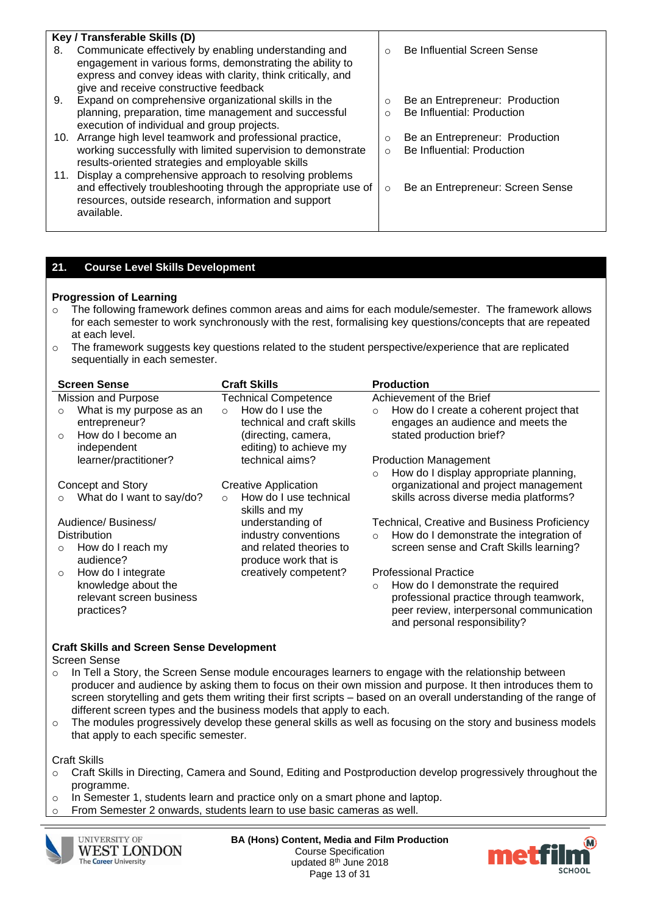|     | Key / Transferable Skills (D)                                  |         |                                  |
|-----|----------------------------------------------------------------|---------|----------------------------------|
| 8.  | Communicate effectively by enabling understanding and          | $\circ$ | Be Influential Screen Sense      |
|     | engagement in various forms, demonstrating the ability to      |         |                                  |
|     | express and convey ideas with clarity, think critically, and   |         |                                  |
|     | give and receive constructive feedback                         |         |                                  |
| 9.  | Expand on comprehensive organizational skills in the           | $\circ$ | Be an Entrepreneur: Production   |
|     | planning, preparation, time management and successful          | $\circ$ | Be Influential: Production       |
|     | execution of individual and group projects.                    |         |                                  |
|     | 10. Arrange high level teamwork and professional practice,     | $\circ$ | Be an Entrepreneur: Production   |
|     | working successfully with limited supervision to demonstrate   | $\circ$ | Be Influential: Production       |
|     | results-oriented strategies and employable skills              |         |                                  |
| 11. | Display a comprehensive approach to resolving problems         |         |                                  |
|     | and effectively troubleshooting through the appropriate use of | $\circ$ | Be an Entrepreneur: Screen Sense |
|     | resources, outside research, information and support           |         |                                  |
|     | available.                                                     |         |                                  |
|     |                                                                |         |                                  |

# **21. Course Level Skills Development**

### **Progression of Learning**

- The following framework defines common areas and aims for each module/semester. The framework allows for each semester to work synchronously with the rest, formalising key questions/concepts that are repeated at each level.
- $\circ$  The framework suggests key questions related to the student perspective/experience that are replicated sequentially in each semester.

| <b>Screen Sense</b>                                           | <b>Craft Skills</b>                                        | <b>Production</b>                                                                                                                                                   |  |  |
|---------------------------------------------------------------|------------------------------------------------------------|---------------------------------------------------------------------------------------------------------------------------------------------------------------------|--|--|
| Mission and Purpose                                           | <b>Technical Competence</b>                                | Achievement of the Brief                                                                                                                                            |  |  |
| What is my purpose as an<br>$\circ$<br>entrepreneur?          | How do I use the<br>$\Omega$<br>technical and craft skills | How do I create a coherent project that<br>$\circ$<br>engages an audience and meets the                                                                             |  |  |
| How do I become an<br>$\Omega$<br>independent                 | (directing, camera,<br>editing) to achieve my              | stated production brief?                                                                                                                                            |  |  |
| learner/practitioner?                                         | technical aims?                                            | <b>Production Management</b><br>How do I display appropriate planning,                                                                                              |  |  |
| Concept and Story                                             | <b>Creative Application</b>                                | organizational and project management                                                                                                                               |  |  |
| What do I want to say/do?<br>$\circ$                          | How do I use technical<br>$\Omega$<br>skills and my        | skills across diverse media platforms?                                                                                                                              |  |  |
| Audience/ Business/                                           | understanding of                                           | <b>Technical, Creative and Business Proficiency</b>                                                                                                                 |  |  |
| <b>Distribution</b>                                           | industry conventions                                       | How do I demonstrate the integration of<br>$\circ$                                                                                                                  |  |  |
| How do I reach my<br>$\Omega$<br>audience?                    | and related theories to<br>produce work that is            | screen sense and Craft Skills learning?                                                                                                                             |  |  |
| How do I integrate<br>$\circ$                                 | creatively competent?                                      | <b>Professional Practice</b>                                                                                                                                        |  |  |
| knowledge about the<br>relevant screen business<br>practices? |                                                            | How do I demonstrate the required<br>$\circ$<br>professional practice through teamwork,<br>peer review, interpersonal communication<br>and personal responsibility? |  |  |

### **Craft Skills and Screen Sense Development**

Screen Sense

- $\circ$  In Tell a Story, the Screen Sense module encourages learners to engage with the relationship between producer and audience by asking them to focus on their own mission and purpose. It then introduces them to screen storytelling and gets them writing their first scripts – based on an overall understanding of the range of different screen types and the business models that apply to each.
- o The modules progressively develop these general skills as well as focusing on the story and business models that apply to each specific semester.

Craft Skills

- o Craft Skills in Directing, Camera and Sound, Editing and Postproduction develop progressively throughout the programme.
- o In Semester 1, students learn and practice only on a smart phone and laptop.
- From Semester 2 onwards, students learn to use basic cameras as well.



**UNIVERSITY OF WEST LONDON** The Career University

**BA (Hons) Content, Media and Film Production** Course Specification updated  $8<sup>th</sup>$  June 2018 Page 13 of 31

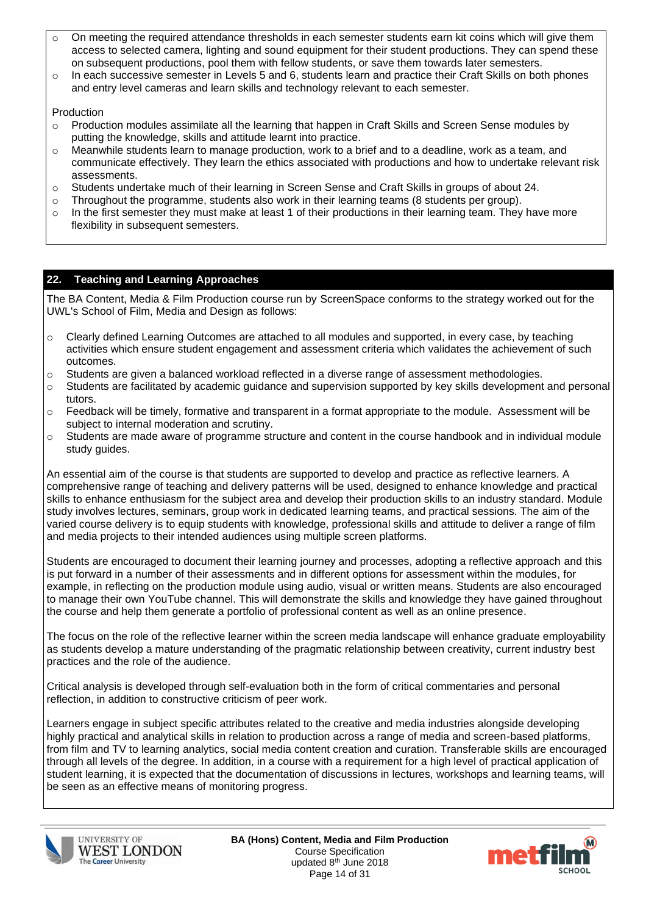- $\circ$  On meeting the required attendance thresholds in each semester students earn kit coins which will give them access to selected camera, lighting and sound equipment for their student productions. They can spend these on subsequent productions, pool them with fellow students, or save them towards later semesters.
- In each successive semester in Levels 5 and 6, students learn and practice their Craft Skills on both phones and entry level cameras and learn skills and technology relevant to each semester.

Production

- o Production modules assimilate all the learning that happen in Craft Skills and Screen Sense modules by putting the knowledge, skills and attitude learnt into practice.
- $\circ$  Meanwhile students learn to manage production, work to a brief and to a deadline, work as a team, and communicate effectively. They learn the ethics associated with productions and how to undertake relevant risk assessments.
- o Students undertake much of their learning in Screen Sense and Craft Skills in groups of about 24.
- $\circ$  Throughout the programme, students also work in their learning teams (8 students per group).
- $\circ$  In the first semester they must make at least 1 of their productions in their learning team. They have more flexibility in subsequent semesters.

# **22. Teaching and Learning Approaches**

The BA Content, Media & Film Production course run by ScreenSpace conforms to the strategy worked out for the UWL's School of Film, Media and Design as follows:

- o Clearly defined Learning Outcomes are attached to all modules and supported, in every case, by teaching activities which ensure student engagement and assessment criteria which validates the achievement of such outcomes.
- o Students are given a balanced workload reflected in a diverse range of assessment methodologies.
- o Students are facilitated by academic guidance and supervision supported by key skills development and personal tutors.
- o Feedback will be timely, formative and transparent in a format appropriate to the module. Assessment will be subject to internal moderation and scrutiny.
- $\circ$  Students are made aware of programme structure and content in the course handbook and in individual module study guides.

An essential aim of the course is that students are supported to develop and practice as reflective learners. A comprehensive range of teaching and delivery patterns will be used, designed to enhance knowledge and practical skills to enhance enthusiasm for the subject area and develop their production skills to an industry standard. Module study involves lectures, seminars, group work in dedicated learning teams, and practical sessions. The aim of the varied course delivery is to equip students with knowledge, professional skills and attitude to deliver a range of film and media projects to their intended audiences using multiple screen platforms.

Students are encouraged to document their learning journey and processes, adopting a reflective approach and this is put forward in a number of their assessments and in different options for assessment within the modules, for example, in reflecting on the production module using audio, visual or written means. Students are also encouraged to manage their own YouTube channel. This will demonstrate the skills and knowledge they have gained throughout the course and help them generate a portfolio of professional content as well as an online presence.

The focus on the role of the reflective learner within the screen media landscape will enhance graduate employability as students develop a mature understanding of the pragmatic relationship between creativity, current industry best practices and the role of the audience.

Critical analysis is developed through self-evaluation both in the form of critical commentaries and personal reflection, in addition to constructive criticism of peer work.

Learners engage in subject specific attributes related to the creative and media industries alongside developing highly practical and analytical skills in relation to production across a range of media and screen-based platforms, from film and TV to learning analytics, social media content creation and curation. Transferable skills are encouraged through all levels of the degree. In addition, in a course with a requirement for a high level of practical application of student learning, it is expected that the documentation of discussions in lectures, workshops and learning teams, will be seen as an effective means of monitoring progress.



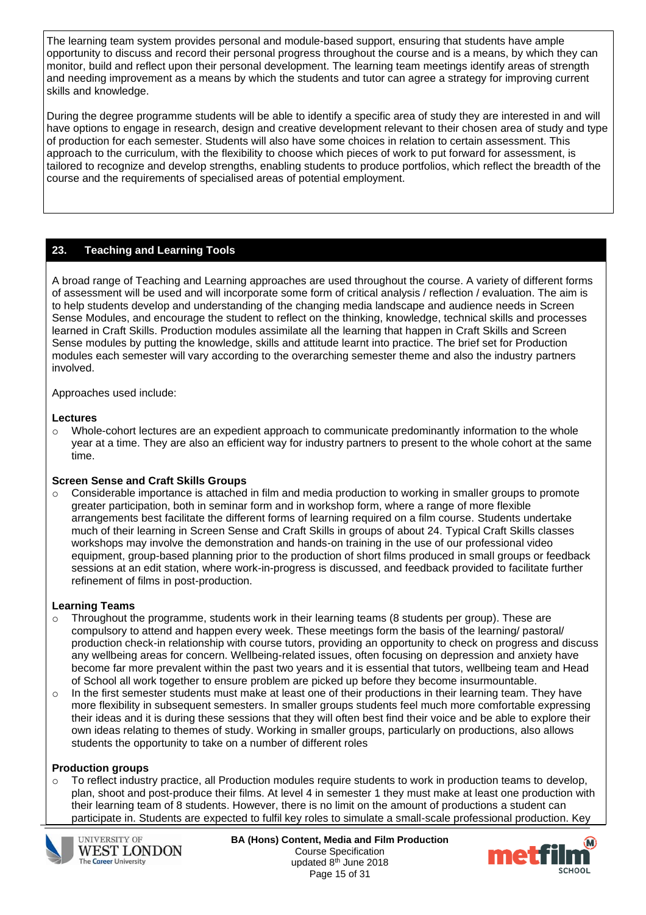The learning team system provides personal and module-based support, ensuring that students have ample opportunity to discuss and record their personal progress throughout the course and is a means, by which they can monitor, build and reflect upon their personal development. The learning team meetings identify areas of strength and needing improvement as a means by which the students and tutor can agree a strategy for improving current skills and knowledge.

During the degree programme students will be able to identify a specific area of study they are interested in and will have options to engage in research, design and creative development relevant to their chosen area of study and type of production for each semester. Students will also have some choices in relation to certain assessment. This approach to the curriculum, with the flexibility to choose which pieces of work to put forward for assessment, is tailored to recognize and develop strengths, enabling students to produce portfolios, which reflect the breadth of the course and the requirements of specialised areas of potential employment.

# **23. Teaching and Learning Tools**

A broad range of Teaching and Learning approaches are used throughout the course. A variety of different forms of assessment will be used and will incorporate some form of critical analysis / reflection / evaluation. The aim is to help students develop and understanding of the changing media landscape and audience needs in Screen Sense Modules, and encourage the student to reflect on the thinking, knowledge, technical skills and processes learned in Craft Skills. Production modules assimilate all the learning that happen in Craft Skills and Screen Sense modules by putting the knowledge, skills and attitude learnt into practice. The brief set for Production modules each semester will vary according to the overarching semester theme and also the industry partners involved.

Approaches used include:

#### **Lectures**

 $\circ$  Whole-cohort lectures are an expedient approach to communicate predominantly information to the whole year at a time. They are also an efficient way for industry partners to present to the whole cohort at the same time.

### **Screen Sense and Craft Skills Groups**

Considerable importance is attached in film and media production to working in smaller groups to promote greater participation, both in seminar form and in workshop form, where a range of more flexible arrangements best facilitate the different forms of learning required on a film course. Students undertake much of their learning in Screen Sense and Craft Skills in groups of about 24. Typical Craft Skills classes workshops may involve the demonstration and hands-on training in the use of our professional video equipment, group-based planning prior to the production of short films produced in small groups or feedback sessions at an edit station, where work-in-progress is discussed, and feedback provided to facilitate further refinement of films in post-production.

### **Learning Teams**

- Throughout the programme, students work in their learning teams (8 students per group). These are compulsory to attend and happen every week. These meetings form the basis of the learning/ pastoral/ production check-in relationship with course tutors, providing an opportunity to check on progress and discuss any wellbeing areas for concern. Wellbeing-related issues, often focusing on depression and anxiety have become far more prevalent within the past two years and it is essential that tutors, wellbeing team and Head of School all work together to ensure problem are picked up before they become insurmountable.
- $\circ$  In the first semester students must make at least one of their productions in their learning team. They have more flexibility in subsequent semesters. In smaller groups students feel much more comfortable expressing their ideas and it is during these sessions that they will often best find their voice and be able to explore their own ideas relating to themes of study. Working in smaller groups, particularly on productions, also allows students the opportunity to take on a number of different roles

#### **Production groups**

 $\circ$  To reflect industry practice, all Production modules require students to work in production teams to develop, plan, shoot and post-produce their films. At level 4 in semester 1 they must make at least one production with their learning team of 8 students. However, there is no limit on the amount of productions a student can participate in. Students are expected to fulfil key roles to simulate a small-scale professional production. Key



UNIVERSITY OF **WEST LONDON** The Career University

**BA (Hons) Content, Media and Film Production** Course Specification updated  $8<sup>th</sup>$  June 2018 Page 15 of 31

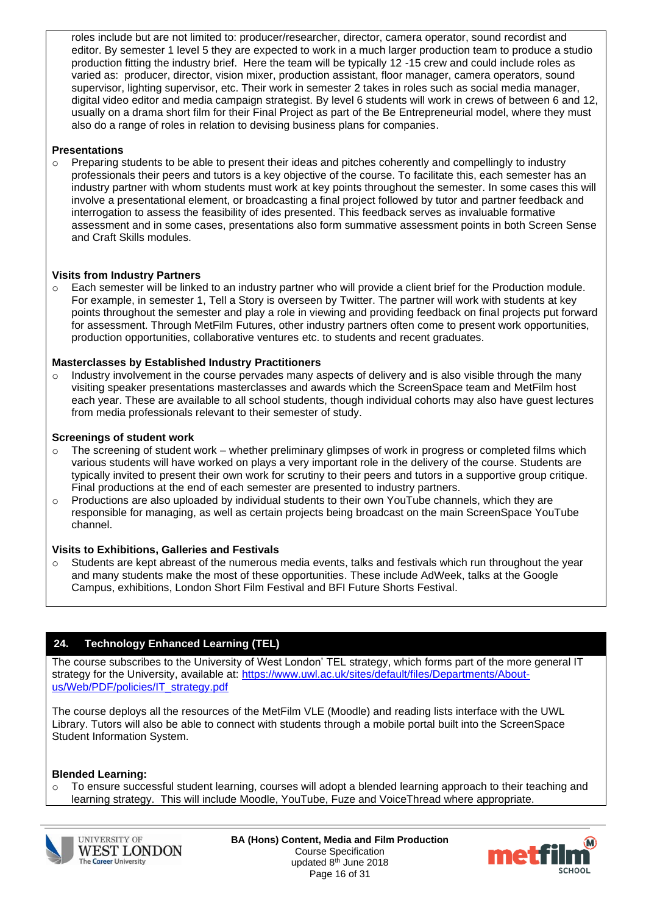roles include but are not limited to: producer/researcher, director, camera operator, sound recordist and editor. By semester 1 level 5 they are expected to work in a much larger production team to produce a studio production fitting the industry brief. Here the team will be typically 12 -15 crew and could include roles as varied as: producer, director, vision mixer, production assistant, floor manager, camera operators, sound supervisor, lighting supervisor, etc. Their work in semester 2 takes in roles such as social media manager, digital video editor and media campaign strategist. By level 6 students will work in crews of between 6 and 12, usually on a drama short film for their Final Project as part of the Be Entrepreneurial model, where they must also do a range of roles in relation to devising business plans for companies.

### **Presentations**

 $\circ$  Preparing students to be able to present their ideas and pitches coherently and compellingly to industry professionals their peers and tutors is a key objective of the course. To facilitate this, each semester has an industry partner with whom students must work at key points throughout the semester. In some cases this will involve a presentational element, or broadcasting a final project followed by tutor and partner feedback and interrogation to assess the feasibility of ides presented. This feedback serves as invaluable formative assessment and in some cases, presentations also form summative assessment points in both Screen Sense and Craft Skills modules.

### **Visits from Industry Partners**

 $\circ$  Each semester will be linked to an industry partner who will provide a client brief for the Production module. For example, in semester 1, Tell a Story is overseen by Twitter. The partner will work with students at key points throughout the semester and play a role in viewing and providing feedback on final projects put forward for assessment. Through MetFilm Futures, other industry partners often come to present work opportunities, production opportunities, collaborative ventures etc. to students and recent graduates.

### **Masterclasses by Established Industry Practitioners**

 $\circ$  Industry involvement in the course pervades many aspects of delivery and is also visible through the many visiting speaker presentations masterclasses and awards which the ScreenSpace team and MetFilm host each year. These are available to all school students, though individual cohorts may also have guest lectures from media professionals relevant to their semester of study.

### **Screenings of student work**

- $\circ$  The screening of student work whether preliminary glimpses of work in progress or completed films which various students will have worked on plays a very important role in the delivery of the course. Students are typically invited to present their own work for scrutiny to their peers and tutors in a supportive group critique. Final productions at the end of each semester are presented to industry partners.
- $\circ$  Productions are also uploaded by individual students to their own YouTube channels, which they are responsible for managing, as well as certain projects being broadcast on the main ScreenSpace YouTube channel.

### **Visits to Exhibitions, Galleries and Festivals**

o Students are kept abreast of the numerous media events, talks and festivals which run throughout the year and many students make the most of these opportunities. These include AdWeek, talks at the Google Campus, exhibitions, London Short Film Festival and BFI Future Shorts Festival.

### **24. Technology Enhanced Learning (TEL)**

The course subscribes to the University of West London' TEL strategy, which forms part of the more general IT strategy for the University, available at: [https://www.uwl.ac.uk/sites/default/files/Departments/About](https://www.uwl.ac.uk/sites/default/files/Departments/About-us/Web/PDF/policies/IT_strategy.pdf)[us/Web/PDF/policies/IT\\_strategy.pdf](https://www.uwl.ac.uk/sites/default/files/Departments/About-us/Web/PDF/policies/IT_strategy.pdf)

The course deploys all the resources of the MetFilm VLE (Moodle) and reading lists interface with the UWL Library. Tutors will also be able to connect with students through a mobile portal built into the ScreenSpace Student Information System.

### **Blended Learning:**

To ensure successful student learning, courses will adopt a blended learning approach to their teaching and learning strategy. This will include Moodle, YouTube, Fuze and VoiceThread where appropriate.



**UNIVERSITY OF WEST LONDON** The Career University

**BA (Hons) Content, Media and Film Production** Course Specification updated 8<sup>th</sup> June 2018 Page 16 of 31

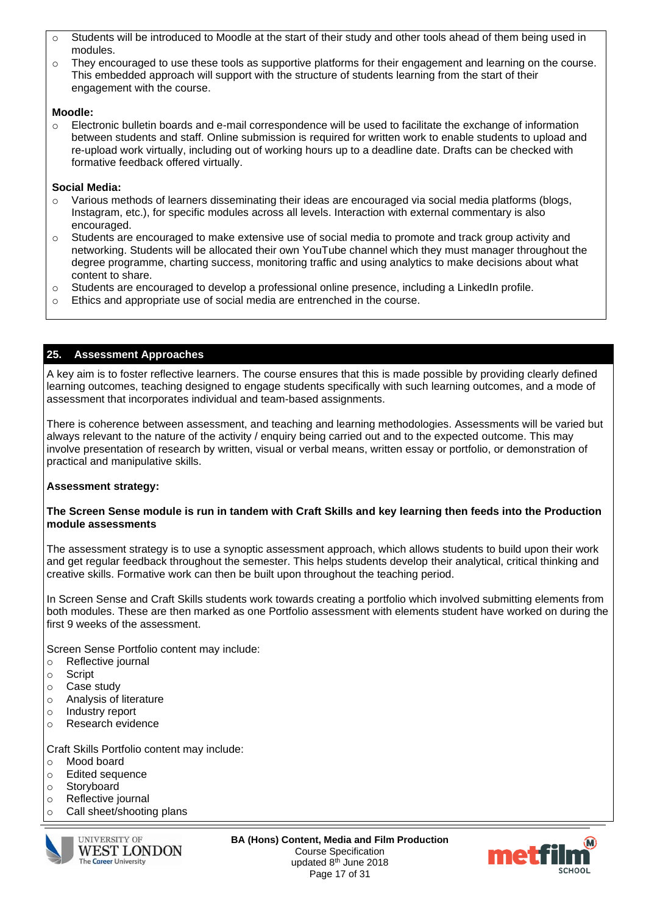- o Students will be introduced to Moodle at the start of their study and other tools ahead of them being used in modules.
- o They encouraged to use these tools as supportive platforms for their engagement and learning on the course. This embedded approach will support with the structure of students learning from the start of their engagement with the course.

### **Moodle:**

o Electronic bulletin boards and e-mail correspondence will be used to facilitate the exchange of information between students and staff. Online submission is required for written work to enable students to upload and re-upload work virtually, including out of working hours up to a deadline date. Drafts can be checked with formative feedback offered virtually.

### **Social Media:**

- $\circ$  Various methods of learners disseminating their ideas are encouraged via social media platforms (blogs, Instagram, etc.), for specific modules across all levels. Interaction with external commentary is also encouraged.
- $\circ$  Students are encouraged to make extensive use of social media to promote and track group activity and networking. Students will be allocated their own YouTube channel which they must manager throughout the degree programme, charting success, monitoring traffic and using analytics to make decisions about what content to share.
- o Students are encouraged to develop a professional online presence, including a LinkedIn profile.
- o Ethics and appropriate use of social media are entrenched in the course.

# **25. Assessment Approaches**

A key aim is to foster reflective learners. The course ensures that this is made possible by providing clearly defined learning outcomes, teaching designed to engage students specifically with such learning outcomes, and a mode of assessment that incorporates individual and team-based assignments.

There is coherence between assessment, and teaching and learning methodologies. Assessments will be varied but always relevant to the nature of the activity / enquiry being carried out and to the expected outcome. This may involve presentation of research by written, visual or verbal means, written essay or portfolio, or demonstration of practical and manipulative skills.

### **Assessment strategy:**

### **The Screen Sense module is run in tandem with Craft Skills and key learning then feeds into the Production module assessments**

The assessment strategy is to use a synoptic assessment approach, which allows students to build upon their work and get regular feedback throughout the semester. This helps students develop their analytical, critical thinking and creative skills. Formative work can then be built upon throughout the teaching period.

In Screen Sense and Craft Skills students work towards creating a portfolio which involved submitting elements from both modules. These are then marked as one Portfolio assessment with elements student have worked on during the first 9 weeks of the assessment.

Screen Sense Portfolio content may include:

- o Reflective journal
- o Script
- o Case study
- o Analysis of literature
- o Industry report
- o Research evidence

Craft Skills Portfolio content may include:

- o Mood board
- o Edited sequence
- o Storyboard
- o Reflective journal
- o Call sheet/shooting plans



**UNIVERSITY OF WEST LONDON** The Career University

**BA (Hons) Content, Media and Film Production** Course Specification updated 8<sup>th</sup> June 2018 Page 17 of 31

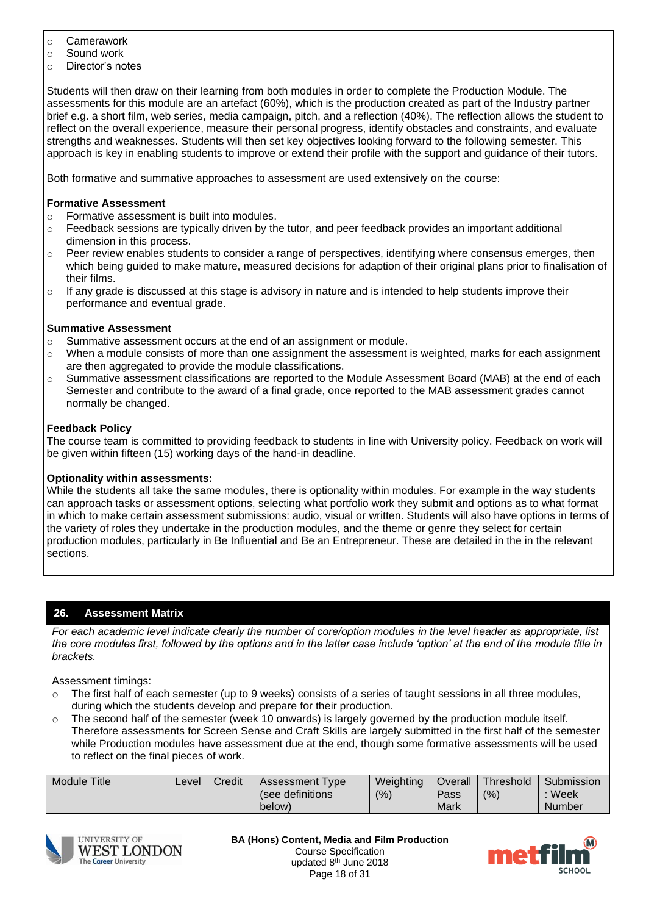- o Camerawork
- o Sound work
- o Director's notes

Students will then draw on their learning from both modules in order to complete the Production Module. The assessments for this module are an artefact (60%), which is the production created as part of the Industry partner brief e.g. a short film, web series, media campaign, pitch, and a reflection (40%). The reflection allows the student to reflect on the overall experience, measure their personal progress, identify obstacles and constraints, and evaluate strengths and weaknesses. Students will then set key objectives looking forward to the following semester. This approach is key in enabling students to improve or extend their profile with the support and guidance of their tutors.

Both formative and summative approaches to assessment are used extensively on the course:

### **Formative Assessment**

- o Formative assessment is built into modules.
- $\circ$  Feedback sessions are typically driven by the tutor, and peer feedback provides an important additional dimension in this process.
- $\circ$  Peer review enables students to consider a range of perspectives, identifying where consensus emerges, then which being guided to make mature, measured decisions for adaption of their original plans prior to finalisation of their films.
- o If any grade is discussed at this stage is advisory in nature and is intended to help students improve their performance and eventual grade.

### **Summative Assessment**

- o Summative assessment occurs at the end of an assignment or module.
- $\circ$  When a module consists of more than one assignment the assessment is weighted, marks for each assignment are then aggregated to provide the module classifications.
- o Summative assessment classifications are reported to the Module Assessment Board (MAB) at the end of each Semester and contribute to the award of a final grade, once reported to the MAB assessment grades cannot normally be changed.

### **Feedback Policy**

The course team is committed to providing feedback to students in line with University policy. Feedback on work will be given within fifteen (15) working days of the hand-in deadline.

### **Optionality within assessments:**

While the students all take the same modules, there is optionality within modules. For example in the way students can approach tasks or assessment options, selecting what portfolio work they submit and options as to what format in which to make certain assessment submissions: audio, visual or written. Students will also have options in terms of the variety of roles they undertake in the production modules, and the theme or genre they select for certain production modules, particularly in Be Influential and Be an Entrepreneur. These are detailed in the in the relevant sections.

# **26. Assessment Matrix**

*For each academic level indicate clearly the number of core/option modules in the level header as appropriate, list the core modules first, followed by the options and in the latter case include 'option' at the end of the module title in brackets.* 

Assessment timings:

- The first half of each semester (up to 9 weeks) consists of a series of taught sessions in all three modules, during which the students develop and prepare for their production.
- $\circ$  The second half of the semester (week 10 onwards) is largely governed by the production module itself. Therefore assessments for Screen Sense and Craft Skills are largely submitted in the first half of the semester while Production modules have assessment due at the end, though some formative assessments will be used to reflect on the final pieces of work.

| Module Title | Level | Credit | Assessment Type  | Weighting | Overall | Threshold      | Submission |
|--------------|-------|--------|------------------|-----------|---------|----------------|------------|
|              |       |        | (see definitions | (9/6)     | Pass    | $\frac{10}{6}$ | Week       |
|              |       |        | below)           |           | Mark    |                | Number     |
|              |       |        |                  |           |         |                |            |



**BA (Hons) Content, Media and Film Production** Course Specification updated 8<sup>th</sup> June 2018 Page 18 of 31

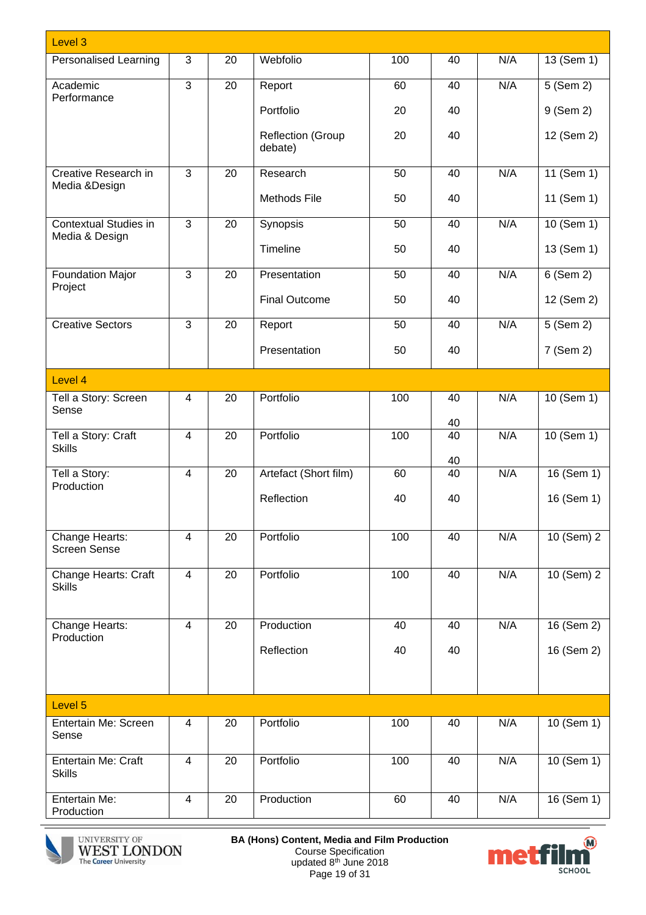| Level 3                                        |                         |    |                              |     |          |     |              |
|------------------------------------------------|-------------------------|----|------------------------------|-----|----------|-----|--------------|
| <b>Personalised Learning</b>                   | 3                       | 20 | Webfolio                     | 100 | 40       | N/A | 13 (Sem 1)   |
| Academic<br>Performance                        | $\mathfrak{S}$          | 20 | Report                       | 60  | 40       | N/A | 5 (Sem 2)    |
|                                                |                         |    | Portfolio                    | 20  | 40       |     | 9 (Sem 2)    |
|                                                |                         |    | Reflection (Group<br>debate) | 20  | 40       |     | 12 (Sem 2)   |
| Creative Research in                           | 3                       | 20 | Research                     | 50  | 40       | N/A | 11 (Sem 1)   |
| Media &Design                                  |                         |    | <b>Methods File</b>          | 50  | 40       |     | 11 (Sem 1)   |
| <b>Contextual Studies in</b><br>Media & Design | 3                       | 20 | Synopsis                     | 50  | 40       | N/A | 10 (Sem 1)   |
|                                                |                         |    | Timeline                     | 50  | 40       |     | 13 (Sem 1)   |
| <b>Foundation Major</b>                        | 3                       | 20 | Presentation                 | 50  | 40       | N/A | 6 (Sem 2)    |
| Project                                        |                         |    | <b>Final Outcome</b>         | 50  | 40       |     | 12 (Sem 2)   |
| <b>Creative Sectors</b>                        | 3                       | 20 | Report                       | 50  | 40       | N/A | 5 (Sem 2)    |
|                                                |                         |    | Presentation                 | 50  | 40       |     | 7 (Sem 2)    |
| Level 4                                        |                         |    |                              |     |          |     |              |
| Tell a Story: Screen<br>Sense                  | 4                       | 20 | Portfolio                    | 100 | 40       | N/A | 10 (Sem 1)   |
|                                                |                         |    | Portfolio                    |     | 40       | N/A |              |
| Tell a Story: Craft<br><b>Skills</b>           | 4                       | 20 |                              | 100 | 40<br>40 |     | 10 (Sem 1)   |
| Tell a Story:                                  | $\overline{4}$          | 20 | Artefact (Short film)        | 60  | 40       | N/A | 16 (Sem 1)   |
| Production                                     |                         |    | Reflection                   | 40  | 40       |     | 16 (Sem 1)   |
| Change Hearts:<br><b>Screen Sense</b>          | $\overline{4}$          | 20 | Portfolio                    | 100 | 40       | N/A | 10 (Sem) 2   |
| Change Hearts: Craft<br><b>Skills</b>          | $\overline{4}$          | 20 | Portfolio                    | 100 | 40       | N/A | 10 (Sem) 2   |
| Change Hearts:                                 | $\overline{4}$          | 20 | Production                   | 40  | 40       | N/A | 16 (Sem 2)   |
| Production                                     |                         |    |                              |     |          |     |              |
|                                                |                         |    | Reflection                   | 40  | 40       |     | 16 (Sem 2)   |
|                                                |                         |    |                              |     |          |     |              |
| Level 5                                        |                         |    |                              |     |          |     |              |
| Entertain Me: Screen<br>Sense                  | $\overline{\mathbf{4}}$ | 20 | Portfolio                    | 100 | 40       | N/A | 10 (Sem 1)   |
| Entertain Me: Craft                            | $\overline{4}$          | 20 | Portfolio                    | 100 | 40       | N/A | $10$ (Sem 1) |
| <b>Skills</b>                                  |                         |    |                              |     |          |     |              |
| Entertain Me:<br>Production                    | $\overline{4}$          | 20 | Production                   | 60  | 40       | N/A | 16 (Sem 1)   |



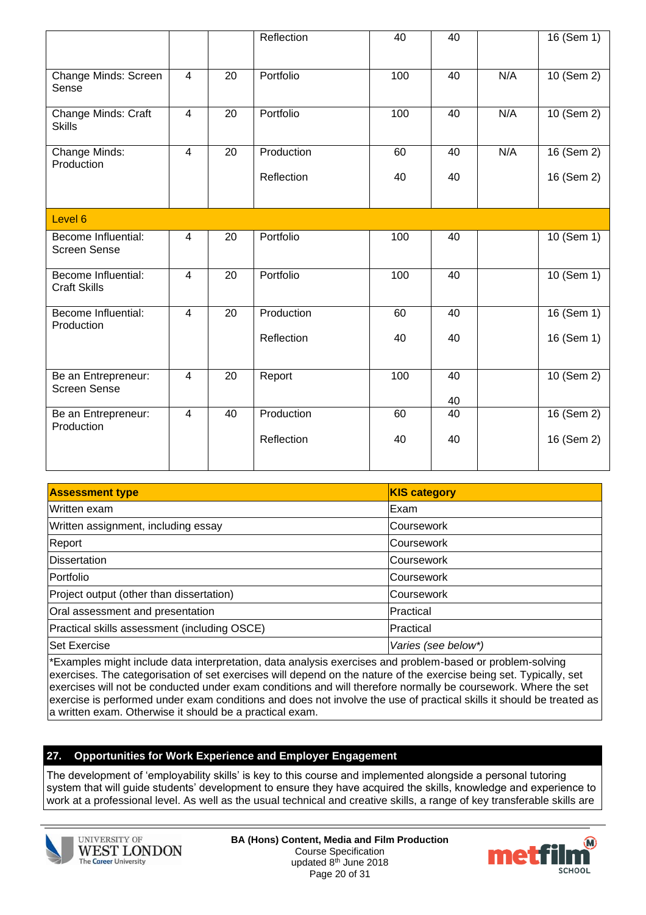|                                            |                         |                 | Reflection | 40  | 40       |     | 16 (Sem 1)   |
|--------------------------------------------|-------------------------|-----------------|------------|-----|----------|-----|--------------|
| Change Minds: Screen<br>Sense              | $\overline{4}$          | 20              | Portfolio  | 100 | 40       | N/A | $10$ (Sem 2) |
| Change Minds: Craft<br><b>Skills</b>       | $\overline{4}$          | 20              | Portfolio  | 100 | 40       | N/A | 10 (Sem 2)   |
| Change Minds:<br>Production                | $\overline{4}$          | 20              | Production | 60  | 40       | N/A | 16 (Sem 2)   |
|                                            |                         |                 | Reflection | 40  | 40       |     | 16 (Sem 2)   |
| Level <sub>6</sub>                         |                         |                 |            |     |          |     |              |
| Become Influential:<br><b>Screen Sense</b> | 4                       | 20              | Portfolio  | 100 | 40       |     | 10 (Sem 1)   |
| Become Influential:<br><b>Craft Skills</b> | $\overline{4}$          | $\overline{20}$ | Portfolio  | 100 | 40       |     | $10$ (Sem 1) |
| Become Influential:<br>Production          | $\overline{4}$          | 20              | Production | 60  | 40       |     | 16 (Sem 1)   |
|                                            |                         |                 | Reflection | 40  | 40       |     | 16 (Sem 1)   |
| Be an Entrepreneur:<br><b>Screen Sense</b> | $\overline{4}$          | 20              | Report     | 100 | 40<br>40 |     | 10 (Sem 2)   |
| Be an Entrepreneur:<br>Production          | $\overline{\mathbf{4}}$ | 40              | Production | 60  | 40       |     | 16 (Sem 2)   |
|                                            |                         |                 | Reflection | 40  | 40       |     | 16 (Sem 2)   |

| <b>Assessment type</b>                       | <b>KIS category</b> |  |  |
|----------------------------------------------|---------------------|--|--|
| Written exam                                 | <b>IExam</b>        |  |  |
| Written assignment, including essay          | Coursework          |  |  |
| Report                                       | <b>Coursework</b>   |  |  |
| Dissertation                                 | Coursework          |  |  |
| <b>Portfolio</b>                             | Coursework          |  |  |
| Project output (other than dissertation)     | Coursework          |  |  |
| Oral assessment and presentation             | Practical           |  |  |
| Practical skills assessment (including OSCE) | Practical           |  |  |
| <b>Set Exercise</b>                          | Varies (see below*) |  |  |

\*Examples might include data interpretation, data analysis exercises and problem-based or problem-solving exercises. The categorisation of set exercises will depend on the nature of the exercise being set. Typically, set exercises will not be conducted under exam conditions and will therefore normally be coursework. Where the set exercise is performed under exam conditions and does not involve the use of practical skills it should be treated as a written exam. Otherwise it should be a practical exam.

# **27. Opportunities for Work Experience and Employer Engagement**

The development of 'employability skills' is key to this course and implemented alongside a personal tutoring system that will guide students' development to ensure they have acquired the skills, knowledge and experience to work at a professional level. As well as the usual technical and creative skills, a range of key transferable skills are



**BA (Hons) Content, Media and Film Production** Course Specification updated 8<sup>th</sup> June 2018 Page 20 of 31

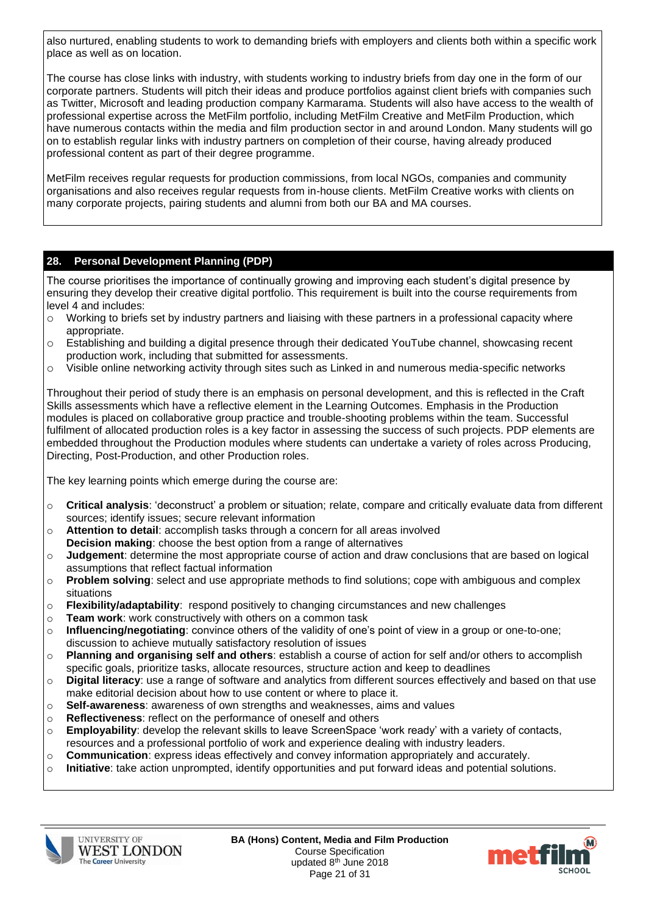also nurtured, enabling students to work to demanding briefs with employers and clients both within a specific work place as well as on location.

The course has close links with industry, with students working to industry briefs from day one in the form of our corporate partners. Students will pitch their ideas and produce portfolios against client briefs with companies such as Twitter, Microsoft and leading production company Karmarama. Students will also have access to the wealth of professional expertise across the MetFilm portfolio, including MetFilm Creative and MetFilm Production, which have numerous contacts within the media and film production sector in and around London. Many students will go on to establish regular links with industry partners on completion of their course, having already produced professional content as part of their degree programme.

MetFilm receives regular requests for production commissions, from local NGOs, companies and community organisations and also receives regular requests from in-house clients. MetFilm Creative works with clients on many corporate projects, pairing students and alumni from both our BA and MA courses.

# **28. Personal Development Planning (PDP)**

The course prioritises the importance of continually growing and improving each student's digital presence by ensuring they develop their creative digital portfolio. This requirement is built into the course requirements from level 4 and includes:

- o Working to briefs set by industry partners and liaising with these partners in a professional capacity where appropriate.
- o Establishing and building a digital presence through their dedicated YouTube channel, showcasing recent production work, including that submitted for assessments.
- $\circ$  Visible online networking activity through sites such as Linked in and numerous media-specific networks

Throughout their period of study there is an emphasis on personal development, and this is reflected in the Craft Skills assessments which have a reflective element in the Learning Outcomes. Emphasis in the Production modules is placed on collaborative group practice and trouble-shooting problems within the team. Successful fulfilment of allocated production roles is a key factor in assessing the success of such projects. PDP elements are embedded throughout the Production modules where students can undertake a variety of roles across Producing, Directing, Post-Production, and other Production roles.

The key learning points which emerge during the course are:

- o **Critical analysis**: 'deconstruct' a problem or situation; relate, compare and critically evaluate data from different sources; identify issues; secure relevant information
- o **Attention to detail**: accomplish tasks through a concern for all areas involved
- **Decision making**: choose the best option from a range of alternatives
- o **Judgement**: determine the most appropriate course of action and draw conclusions that are based on logical assumptions that reflect factual information
- o **Problem solving**: select and use appropriate methods to find solutions; cope with ambiguous and complex situations
- o **Flexibility/adaptability**: respond positively to changing circumstances and new challenges
- o **Team work**: work constructively with others on a common task
- o **Influencing/negotiating**: convince others of the validity of one's point of view in a group or one-to-one; discussion to achieve mutually satisfactory resolution of issues
- o **Planning and organising self and others**: establish a course of action for self and/or others to accomplish specific goals, prioritize tasks, allocate resources, structure action and keep to deadlines
- o **Digital literacy**: use a range of software and analytics from different sources effectively and based on that use make editorial decision about how to use content or where to place it.
- o **Self-awareness**: awareness of own strengths and weaknesses, aims and values
- o **Reflectiveness**: reflect on the performance of oneself and others
- o **Employability**: develop the relevant skills to leave ScreenSpace 'work ready' with a variety of contacts, resources and a professional portfolio of work and experience dealing with industry leaders.
- o **Communication**: express ideas effectively and convey information appropriately and accurately.
- o **Initiative**: take action unprompted, identify opportunities and put forward ideas and potential solutions.



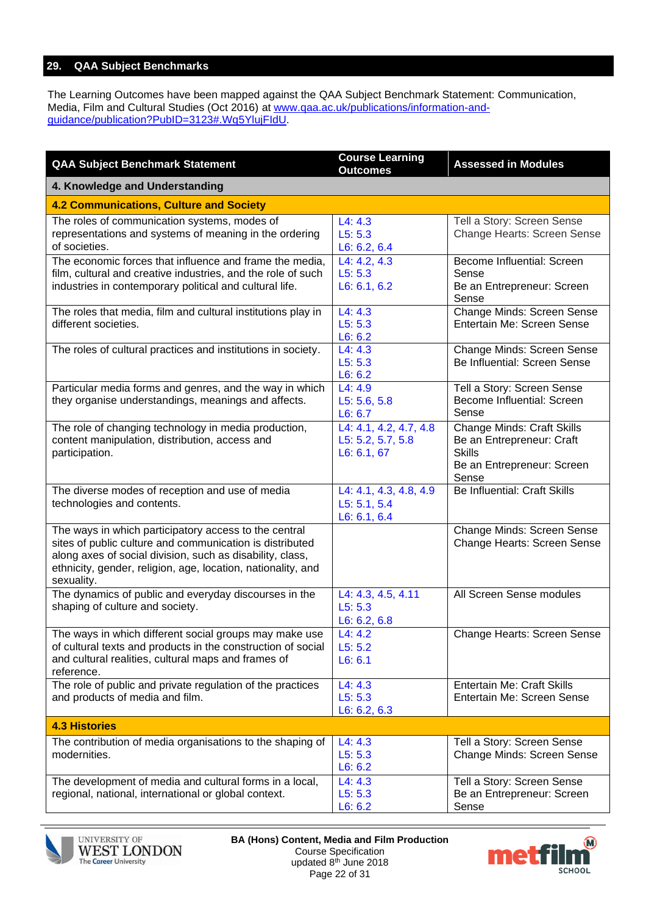# **29. QAA Subject Benchmarks**

The Learning Outcomes have been mapped against the QAA Subject Benchmark Statement: Communication, Media, Film and Cultural Studies (Oct 2016) at [www.qaa.ac.uk/publications/information-and](http://www.qaa.ac.uk/publications/information-and-guidance/publication?PubID=3123#.Wq5YlujFIdU)[guidance/publication?PubID=3123#.Wq5YlujFIdU.](http://www.qaa.ac.uk/publications/information-and-guidance/publication?PubID=3123#.Wq5YlujFIdU)

| <b>QAA Subject Benchmark Statement</b>                                                                                                                                                                                                                       | <b>Course Learning</b><br><b>Outcomes</b>                  | <b>Assessed in Modules</b>                                                                                             |
|--------------------------------------------------------------------------------------------------------------------------------------------------------------------------------------------------------------------------------------------------------------|------------------------------------------------------------|------------------------------------------------------------------------------------------------------------------------|
| 4. Knowledge and Understanding                                                                                                                                                                                                                               |                                                            |                                                                                                                        |
| <b>4.2 Communications, Culture and Society</b>                                                                                                                                                                                                               |                                                            |                                                                                                                        |
| The roles of communication systems, modes of<br>representations and systems of meaning in the ordering<br>of societies.                                                                                                                                      | L4: 4.3<br>L5: 5.3<br>L6: 6.2, 6.4                         | Tell a Story: Screen Sense<br>Change Hearts: Screen Sense                                                              |
| The economic forces that influence and frame the media,<br>film, cultural and creative industries, and the role of such<br>industries in contemporary political and cultural life.                                                                           | L4: 4.2, 4.3<br>L5: 5.3<br>L6: 6.1, 6.2                    | Become Influential: Screen<br>Sense<br>Be an Entrepreneur: Screen<br>Sense                                             |
| The roles that media, film and cultural institutions play in<br>different societies.                                                                                                                                                                         | L4: 4.3<br>L5: 5.3<br>L6: 6.2                              | Change Minds: Screen Sense<br>Entertain Me: Screen Sense                                                               |
| The roles of cultural practices and institutions in society.                                                                                                                                                                                                 | L4:4.3<br>L5: 5.3<br>L6: 6.2                               | Change Minds: Screen Sense<br>Be Influential: Screen Sense                                                             |
| Particular media forms and genres, and the way in which<br>they organise understandings, meanings and affects.                                                                                                                                               | L4:4.9<br>L5: 5.6, 5.8<br>L6: 6.7                          | Tell a Story: Screen Sense<br>Become Influential: Screen<br>Sense                                                      |
| The role of changing technology in media production,<br>content manipulation, distribution, access and<br>participation.                                                                                                                                     | L4: 4.1, 4.2, 4.7, 4.8<br>L5: 5.2, 5.7, 5.8<br>L6: 6.1, 67 | <b>Change Minds: Craft Skills</b><br>Be an Entrepreneur: Craft<br><b>Skills</b><br>Be an Entrepreneur: Screen<br>Sense |
| The diverse modes of reception and use of media<br>technologies and contents.                                                                                                                                                                                | L4: 4.1, 4.3, 4.8, 4.9<br>L5: 5.1, 5.4<br>L6: 6.1, 6.4     | Be Influential: Craft Skills                                                                                           |
| The ways in which participatory access to the central<br>sites of public culture and communication is distributed<br>along axes of social division, such as disability, class,<br>ethnicity, gender, religion, age, location, nationality, and<br>sexuality. |                                                            | Change Minds: Screen Sense<br>Change Hearts: Screen Sense                                                              |
| The dynamics of public and everyday discourses in the<br>shaping of culture and society.                                                                                                                                                                     | L4: 4.3, 4.5, 4.11<br>L5: 5.3<br>L6: 6.2, 6.8              | All Screen Sense modules                                                                                               |
| The ways in which different social groups may make use<br>of cultural texts and products in the construction of social<br>and cultural realities, cultural maps and frames of<br>reference.                                                                  | L4:4.2<br>L5: 5.2<br>L6: 6.1                               | <b>Change Hearts: Screen Sense</b>                                                                                     |
| The role of public and private regulation of the practices<br>and products of media and film.                                                                                                                                                                | L4: 4.3<br>L5: 5.3<br>L6: 6.2, 6.3                         | <b>Entertain Me: Craft Skills</b><br>Entertain Me: Screen Sense                                                        |
| <b>4.3 Histories</b>                                                                                                                                                                                                                                         |                                                            |                                                                                                                        |
| The contribution of media organisations to the shaping of<br>modernities.                                                                                                                                                                                    | L4:4.3<br>L5: 5.3<br>L6: 6.2                               | Tell a Story: Screen Sense<br>Change Minds: Screen Sense                                                               |
| The development of media and cultural forms in a local,<br>regional, national, international or global context.                                                                                                                                              | L4: 4.3<br>L5: 5.3<br>L6: 6.2                              | Tell a Story: Screen Sense<br>Be an Entrepreneur: Screen<br>Sense                                                      |



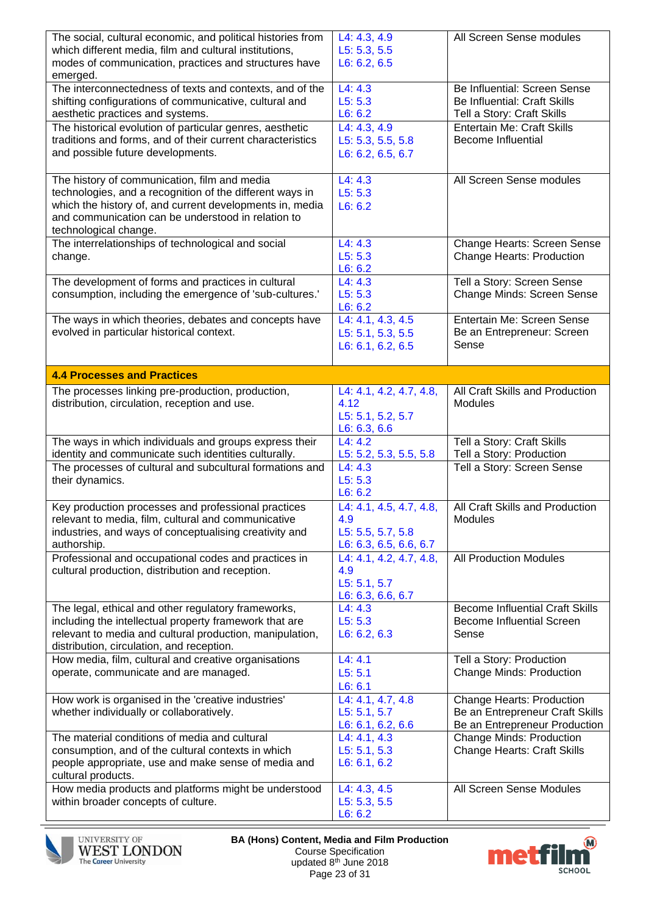| The social, cultural economic, and political histories from | L4: 4.3, 4.9                          | All Screen Sense modules               |
|-------------------------------------------------------------|---------------------------------------|----------------------------------------|
| which different media, film and cultural institutions,      | L5: 5.3, 5.5                          |                                        |
| modes of communication, practices and structures have       | L6: 6.2, 6.5                          |                                        |
| emerged.                                                    |                                       |                                        |
| The interconnectedness of texts and contexts, and of the    | L4:4.3                                | Be Influential: Screen Sense           |
| shifting configurations of communicative, cultural and      | L5: 5.3                               | Be Influential: Craft Skills           |
| aesthetic practices and systems.                            | L6: 6.2                               | Tell a Story: Craft Skills             |
| The historical evolution of particular genres, aesthetic    | L4: 4.3, 4.9                          | <b>Entertain Me: Craft Skills</b>      |
| traditions and forms, and of their current characteristics  | L5: 5.3, 5.5, 5.8                     | Become Influential                     |
| and possible future developments.                           | L6: 6.2, 6.5, 6.7                     |                                        |
|                                                             |                                       |                                        |
| The history of communication, film and media                | L4: 4.3                               | All Screen Sense modules               |
| technologies, and a recognition of the different ways in    | L5: 5.3                               |                                        |
| which the history of, and current developments in, media    | L6: 6.2                               |                                        |
| and communication can be understood in relation to          |                                       |                                        |
| technological change.                                       |                                       |                                        |
| The interrelationships of technological and social          | L4:4.3                                | Change Hearts: Screen Sense            |
| change.                                                     | L5: 5.3                               | <b>Change Hearts: Production</b>       |
|                                                             | L6: 6.2                               |                                        |
| The development of forms and practices in cultural          | L4:4.3                                | Tell a Story: Screen Sense             |
| consumption, including the emergence of 'sub-cultures.'     | L5: 5.3                               | Change Minds: Screen Sense             |
|                                                             | L6: 6.2                               |                                        |
| The ways in which theories, debates and concepts have       | L4: 4.1, 4.3, 4.5                     | Entertain Me: Screen Sense             |
| evolved in particular historical context.                   | L5: 5.1, 5.3, 5.5                     | Be an Entrepreneur: Screen             |
|                                                             | L6: 6.1, 6.2, 6.5                     | Sense                                  |
|                                                             |                                       |                                        |
| <b>4.4 Processes and Practices</b>                          |                                       |                                        |
|                                                             |                                       | All Craft Skills and Production        |
| The processes linking pre-production, production,           | L4: 4.1, 4.2, 4.7, 4.8,<br>4.12       | Modules                                |
| distribution, circulation, reception and use.               | L5: 5.1, 5.2, 5.7                     |                                        |
|                                                             |                                       |                                        |
|                                                             |                                       |                                        |
|                                                             | L6: 6.3, 6.6                          |                                        |
| The ways in which individuals and groups express their      | L4:4.2                                | Tell a Story: Craft Skills             |
| identity and communicate such identities culturally.        | L5: 5.2, 5.3, 5.5, 5.8                | Tell a Story: Production               |
| The processes of cultural and subcultural formations and    | L4:4.3                                | Tell a Story: Screen Sense             |
| their dynamics.                                             | L5: 5.3                               |                                        |
|                                                             | L6: 6.2                               |                                        |
| Key production processes and professional practices         | L4: 4.1, 4.5, 4.7, 4.8,               | All Craft Skills and Production        |
| relevant to media, film, cultural and communicative         | 4.9                                   | Modules                                |
| industries, and ways of conceptualising creativity and      | L5: 5.5, 5.7, 5.8                     |                                        |
| authorship.                                                 | L6: 6.3, 6.5, 6.6, 6.7                |                                        |
| Professional and occupational codes and practices in        | $\overline{L4}$ : 4.1, 4.2, 4.7, 4.8, | <b>All Production Modules</b>          |
| cultural production, distribution and reception.            | 4.9                                   |                                        |
|                                                             | L5: 5.1, 5.7                          |                                        |
|                                                             | L6: 6.3, 6.6, 6.7                     |                                        |
| The legal, ethical and other regulatory frameworks,         | L4: 4.3                               | <b>Become Influential Craft Skills</b> |
| including the intellectual property framework that are      | L5: 5.3                               | <b>Become Influential Screen</b>       |
| relevant to media and cultural production, manipulation,    | L6: 6.2, 6.3                          | Sense                                  |
| distribution, circulation, and reception.                   |                                       |                                        |
| How media, film, cultural and creative organisations        | L4:4.1                                | Tell a Story: Production               |
| operate, communicate and are managed.                       | L5: 5.1                               | <b>Change Minds: Production</b>        |
|                                                             | L6: 6.1                               |                                        |
| How work is organised in the 'creative industries'          | L4: $4.1, 4.7, 4.8$                   | <b>Change Hearts: Production</b>       |
| whether individually or collaboratively.                    | L5: 5.1, 5.7                          | Be an Entrepreneur Craft Skills        |
|                                                             | L6: 6.1, 6.2, 6.6                     | Be an Entrepreneur Production          |
| The material conditions of media and cultural               | L4: 4.1, 4.3                          | <b>Change Minds: Production</b>        |
| consumption, and of the cultural contexts in which          | L5: 5.1, 5.3                          | <b>Change Hearts: Craft Skills</b>     |
| people appropriate, use and make sense of media and         | L6: 6.1, 6.2                          |                                        |
| cultural products.                                          |                                       |                                        |
| How media products and platforms might be understood        | L4: 4.3, 4.5                          | All Screen Sense Modules               |
| within broader concepts of culture.                         | L5: 5.3, 5.5<br>L6: 6.2               |                                        |



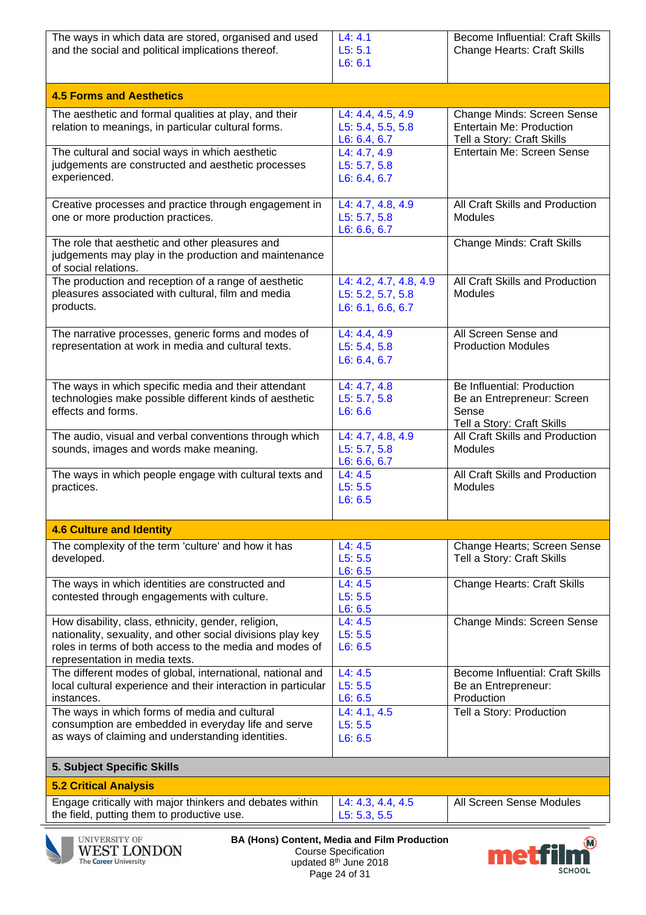| The ways in which data are stored, organised and used<br>and the social and political implications thereof.                                                                                                     | L4:4.1<br>L5: 5.1<br>L6: 6.1                                     | <b>Become Influential: Craft Skills</b><br><b>Change Hearts: Craft Skills</b>                   |  |
|-----------------------------------------------------------------------------------------------------------------------------------------------------------------------------------------------------------------|------------------------------------------------------------------|-------------------------------------------------------------------------------------------------|--|
| <b>4.5 Forms and Aesthetics</b>                                                                                                                                                                                 |                                                                  |                                                                                                 |  |
| The aesthetic and formal qualities at play, and their<br>relation to meanings, in particular cultural forms.                                                                                                    | L4: 4.4, 4.5, 4.9<br>L5: 5.4, 5.5, 5.8<br>L6: 6.4, 6.7           | Change Minds: Screen Sense<br><b>Entertain Me: Production</b><br>Tell a Story: Craft Skills     |  |
| The cultural and social ways in which aesthetic<br>judgements are constructed and aesthetic processes<br>experienced.                                                                                           | L4: 4.7, 4.9<br>L5: 5.7, 5.8<br>L6: 6.4, 6.7                     | Entertain Me: Screen Sense                                                                      |  |
| Creative processes and practice through engagement in<br>one or more production practices.                                                                                                                      | L4: 4.7, 4.8, 4.9<br>L5: 5.7, 5.8<br>L6: 6.6, 6.7                | All Craft Skills and Production<br><b>Modules</b>                                               |  |
| The role that aesthetic and other pleasures and<br>judgements may play in the production and maintenance<br>of social relations.                                                                                |                                                                  | <b>Change Minds: Craft Skills</b>                                                               |  |
| The production and reception of a range of aesthetic<br>pleasures associated with cultural, film and media<br>products.                                                                                         | L4: 4.2, 4.7, 4.8, 4.9<br>L5: 5.2, 5.7, 5.8<br>L6: 6.1, 6.6, 6.7 | All Craft Skills and Production<br><b>Modules</b>                                               |  |
| The narrative processes, generic forms and modes of<br>representation at work in media and cultural texts.                                                                                                      | L4: 4.4, 4.9<br>L5: 5.4, 5.8<br>L6: 6.4, 6.7                     | All Screen Sense and<br><b>Production Modules</b>                                               |  |
| The ways in which specific media and their attendant<br>technologies make possible different kinds of aesthetic<br>effects and forms.                                                                           | L4: $4.7, 4.8$<br>L5: 5.7, 5.8<br>L6:6.6                         | Be Influential: Production<br>Be an Entrepreneur: Screen<br>Sense<br>Tell a Story: Craft Skills |  |
| The audio, visual and verbal conventions through which<br>sounds, images and words make meaning.                                                                                                                | L4: 4.7, 4.8, 4.9<br>L5: 5.7, 5.8<br>L6: 6.6, 6.7                | All Craft Skills and Production<br><b>Modules</b>                                               |  |
| The ways in which people engage with cultural texts and<br>practices.                                                                                                                                           | L4:4.5<br>L5: 5.5<br>L6: 6.5                                     | All Craft Skills and Production<br>Modules                                                      |  |
| <b>4.6 Culture and Identity</b>                                                                                                                                                                                 |                                                                  |                                                                                                 |  |
| The complexity of the term 'culture' and how it has<br>developed.                                                                                                                                               | L4:4.5<br>L5: 5.5<br>L6: 6.5                                     | Change Hearts; Screen Sense<br>Tell a Story: Craft Skills                                       |  |
| The ways in which identities are constructed and<br>contested through engagements with culture.                                                                                                                 | L4:4.5<br>L5: 5.5<br>L6: 6.5                                     | <b>Change Hearts: Craft Skills</b>                                                              |  |
| How disability, class, ethnicity, gender, religion,<br>nationality, sexuality, and other social divisions play key<br>roles in terms of both access to the media and modes of<br>representation in media texts. | L4:4.5<br>L5: 5.5<br>L6: 6.5                                     | Change Minds: Screen Sense                                                                      |  |
| The different modes of global, international, national and<br>local cultural experience and their interaction in particular<br>instances.                                                                       | L4:4.5<br>L5: 5.5<br>L6: 6.5                                     | <b>Become Influential: Craft Skills</b><br>Be an Entrepreneur:<br>Production                    |  |
| The ways in which forms of media and cultural<br>consumption are embedded in everyday life and serve<br>as ways of claiming and understanding identities.                                                       | L4: 4.1, 4.5<br>L5: 5.5<br>L6: 6.5                               | Tell a Story: Production                                                                        |  |
| 5. Subject Specific Skills                                                                                                                                                                                      |                                                                  |                                                                                                 |  |
| <b>5.2 Critical Analysis</b>                                                                                                                                                                                    |                                                                  |                                                                                                 |  |
| Engage critically with major thinkers and debates within<br>the field, putting them to productive use.                                                                                                          | L4: 4.3, 4.4, 4.5<br>L5: 5.3, 5.5                                | All Screen Sense Modules                                                                        |  |
| UNIVERSITY OF<br>BA (Hons) Content, Media and Film Production<br>EST LONDON<br>metfil<br><b>Course Specification</b><br>The Career University<br>updated 8th June 2018                                          |                                                                  |                                                                                                 |  |

Course Specification updated 8<sup>th</sup> June 2018 Page 24 of 31

SCHOOL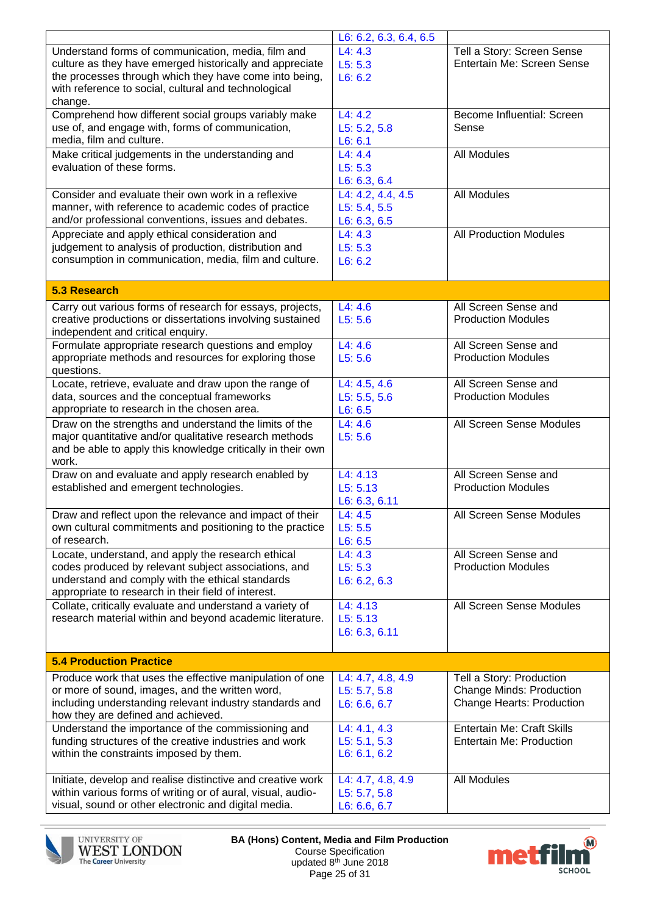|                                                                 | L6: 6.2, 6.3, 6.4, 6.5 |                                   |
|-----------------------------------------------------------------|------------------------|-----------------------------------|
| Understand forms of communication, media, film and              | L4:4.3                 | Tell a Story: Screen Sense        |
| culture as they have emerged historically and appreciate        | L5: 5.3                | Entertain Me: Screen Sense        |
| the processes through which they have come into being,          | L6: 6.2                |                                   |
| with reference to social, cultural and technological<br>change. |                        |                                   |
| Comprehend how different social groups variably make            | L4:4.2                 | Become Influential: Screen        |
| use of, and engage with, forms of communication,                | L5: 5.2, 5.8           | Sense                             |
| media, film and culture.                                        | L6: 6.1                |                                   |
| Make critical judgements in the understanding and               | L4:4.4                 | <b>All Modules</b>                |
| evaluation of these forms.                                      | L5: 5.3                |                                   |
|                                                                 | L6: 6.3, 6.4           |                                   |
| Consider and evaluate their own work in a reflexive             | L4: 4.2, 4.4, 4.5      | <b>All Modules</b>                |
| manner, with reference to academic codes of practice            | L5: 5.4, 5.5           |                                   |
| and/or professional conventions, issues and debates.            | L6: 6.3, 6.5           |                                   |
| Appreciate and apply ethical consideration and                  | L4:4.3                 | <b>All Production Modules</b>     |
| judgement to analysis of production, distribution and           | L5: 5.3                |                                   |
| consumption in communication, media, film and culture.          | L6: 6.2                |                                   |
|                                                                 |                        |                                   |
| 5.3 Research                                                    |                        |                                   |
| Carry out various forms of research for essays, projects,       | L4:4.6                 | All Screen Sense and              |
| creative productions or dissertations involving sustained       | L5:5.6                 | <b>Production Modules</b>         |
| independent and critical enquiry.                               |                        |                                   |
| Formulate appropriate research questions and employ             | L4:4.6                 | All Screen Sense and              |
| appropriate methods and resources for exploring those           | L5:5.6                 | <b>Production Modules</b>         |
| questions.                                                      |                        |                                   |
| Locate, retrieve, evaluate and draw upon the range of           | L4: $4.5, 4.6$         | All Screen Sense and              |
| data, sources and the conceptual frameworks                     | L5: 5.5, 5.6           | <b>Production Modules</b>         |
| appropriate to research in the chosen area.                     | L6: 6.5                |                                   |
| Draw on the strengths and understand the limits of the          | L4:4.6                 | All Screen Sense Modules          |
| major quantitative and/or qualitative research methods          | L5:5.6                 |                                   |
| and be able to apply this knowledge critically in their own     |                        |                                   |
| work.                                                           |                        |                                   |
| Draw on and evaluate and apply research enabled by              | L4: 4.13               | All Screen Sense and              |
| established and emergent technologies.                          | L5: 5.13               | <b>Production Modules</b>         |
|                                                                 | L6: 6.3, 6.11          |                                   |
| Draw and reflect upon the relevance and impact of their         | L4:4.5                 | All Screen Sense Modules          |
| own cultural commitments and positioning to the practice        | L5: 5.5                |                                   |
| of research.                                                    | L6: 6.5                |                                   |
| Locate, understand, and apply the research ethical              | L4:4.3                 | All Screen Sense and              |
| codes produced by relevant subject associations, and            | L5: 5.3                | <b>Production Modules</b>         |
| understand and comply with the ethical standards                | L6: 6.2, 6.3           |                                   |
| appropriate to research in their field of interest.             |                        |                                   |
| Collate, critically evaluate and understand a variety of        | L4: 4.13               | All Screen Sense Modules          |
| research material within and beyond academic literature.        | L5: 5.13               |                                   |
|                                                                 | L6: 6.3, 6.11          |                                   |
|                                                                 |                        |                                   |
| <b>5.4 Production Practice</b>                                  |                        |                                   |
| Produce work that uses the effective manipulation of one        | L4: 4.7, 4.8, 4.9      | Tell a Story: Production          |
| or more of sound, images, and the written word,                 | L5: 5.7, 5.8           | <b>Change Minds: Production</b>   |
| including understanding relevant industry standards and         | L6: 6.6, 6.7           | <b>Change Hearts: Production</b>  |
| how they are defined and achieved.                              |                        |                                   |
| Understand the importance of the commissioning and              | L4: 4.1, 4.3           | <b>Entertain Me: Craft Skills</b> |
| funding structures of the creative industries and work          | L5: 5.1, 5.3           | <b>Entertain Me: Production</b>   |
| within the constraints imposed by them.                         | L6: 6.1, 6.2           |                                   |
|                                                                 |                        |                                   |
| Initiate, develop and realise distinctive and creative work     | L4: 4.7, 4.8, 4.9      | <b>All Modules</b>                |
| within various forms of writing or of aural, visual, audio-     | L5: 5.7, 5.8           |                                   |
| visual, sound or other electronic and digital media.            | L6: 6.6, 6.7           |                                   |
|                                                                 |                        |                                   |



**BA (Hons) Content, Media and Film Production** Course Specification updated 8<sup>th</sup> June 2018 Page 25 of 31

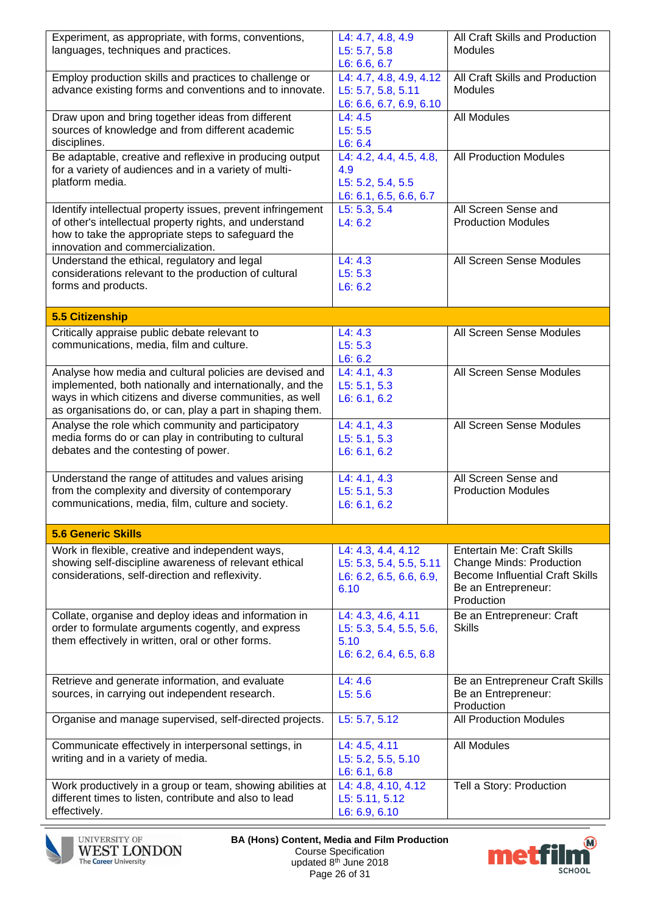| Experiment, as appropriate, with forms, conventions,<br>languages, techniques and practices.                                                                                                                                                 | L4: 4.7, 4.8, 4.9<br>L5: 5.7, 5.8<br>L6: 6.6, 6.7                                  | All Craft Skills and Production<br><b>Modules</b>                                                                                            |
|----------------------------------------------------------------------------------------------------------------------------------------------------------------------------------------------------------------------------------------------|------------------------------------------------------------------------------------|----------------------------------------------------------------------------------------------------------------------------------------------|
| Employ production skills and practices to challenge or<br>advance existing forms and conventions and to innovate.                                                                                                                            | L4: 4.7, 4.8, 4.9, 4.12<br>L5: 5.7, 5.8, 5.11<br>L6: 6.6, 6.7, 6.9, 6.10           | All Craft Skills and Production<br>Modules                                                                                                   |
| Draw upon and bring together ideas from different<br>sources of knowledge and from different academic<br>disciplines.                                                                                                                        | L4:4.5<br>L5: 5.5<br>L6: 6.4                                                       | <b>All Modules</b>                                                                                                                           |
| Be adaptable, creative and reflexive in producing output<br>for a variety of audiences and in a variety of multi-<br>platform media.                                                                                                         | L4: 4.2, 4.4, 4.5, 4.8,<br>4.9<br>L5: 5.2, 5.4, 5.5<br>L6: 6.1, 6.5, 6.6, 6.7      | <b>All Production Modules</b>                                                                                                                |
| Identify intellectual property issues, prevent infringement<br>of other's intellectual property rights, and understand<br>how to take the appropriate steps to safeguard the<br>innovation and commercialization.                            | L5: 5.3, 5.4<br>L4:6.2                                                             | All Screen Sense and<br><b>Production Modules</b>                                                                                            |
| Understand the ethical, regulatory and legal<br>considerations relevant to the production of cultural<br>forms and products.                                                                                                                 | L4:4.3<br>L5: 5.3<br>L6: 6.2                                                       | All Screen Sense Modules                                                                                                                     |
| <b>5.5 Citizenship</b>                                                                                                                                                                                                                       |                                                                                    |                                                                                                                                              |
| Critically appraise public debate relevant to<br>communications, media, film and culture.                                                                                                                                                    | L4: 4.3<br>L5: 5.3<br>L6: 6.2                                                      | All Screen Sense Modules                                                                                                                     |
| Analyse how media and cultural policies are devised and<br>implemented, both nationally and internationally, and the<br>ways in which citizens and diverse communities, as well<br>as organisations do, or can, play a part in shaping them. | L4: 4.1, 4.3<br>L5: 5.1, 5.3<br>L6: 6.1, 6.2                                       | All Screen Sense Modules                                                                                                                     |
| Analyse the role which community and participatory<br>media forms do or can play in contributing to cultural<br>debates and the contesting of power.                                                                                         | L4: 4.1, 4.3<br>L5: 5.1, 5.3<br>L6: 6.1, 6.2                                       | All Screen Sense Modules                                                                                                                     |
| Understand the range of attitudes and values arising<br>from the complexity and diversity of contemporary<br>communications, media, film, culture and society.                                                                               | L4: 4.1, 4.3<br>L5: 5.1, 5.3<br>L6: 6.1, 6.2                                       | All Screen Sense and<br><b>Production Modules</b>                                                                                            |
| <b>5.6 Generic Skills</b>                                                                                                                                                                                                                    |                                                                                    |                                                                                                                                              |
| Work in flexible, creative and independent ways,<br>showing self-discipline awareness of relevant ethical<br>considerations, self-direction and reflexivity.                                                                                 | L4: 4.3, 4.4, 4.12<br>L5: 5.3, 5.4, 5.5, 5.11<br>L6: $6.2, 6.5, 6.6, 6.9,$<br>6.10 | <b>Entertain Me: Craft Skills</b><br>Change Minds: Production<br><b>Become Influential Craft Skills</b><br>Be an Entrepreneur:<br>Production |
| Collate, organise and deploy ideas and information in<br>order to formulate arguments cogently, and express<br>them effectively in written, oral or other forms.                                                                             | L4: 4.3, 4.6, 4.11<br>L5: 5.3, 5.4, 5.5, 5.6,<br>5.10<br>L6: $6.2, 6.4, 6.5, 6.8$  | Be an Entrepreneur: Craft<br><b>Skills</b>                                                                                                   |
| Retrieve and generate information, and evaluate<br>sources, in carrying out independent research.                                                                                                                                            | L4:4.6<br>L5:5.6                                                                   | Be an Entrepreneur Craft Skills<br>Be an Entrepreneur:<br>Production                                                                         |
| Organise and manage supervised, self-directed projects.                                                                                                                                                                                      | L5: 5.7, 5.12                                                                      | <b>All Production Modules</b>                                                                                                                |
| Communicate effectively in interpersonal settings, in<br>writing and in a variety of media.                                                                                                                                                  | L4: 4.5, 4.11<br>L5: 5.2, 5.5, 5.10<br>L6: 6.1, 6.8                                | <b>All Modules</b>                                                                                                                           |
| Work productively in a group or team, showing abilities at<br>different times to listen, contribute and also to lead<br>effectively.                                                                                                         | L4: 4.8, 4.10, 4.12<br>L5: 5.11, 5.12<br>L6: 6.9, 6.10                             | Tell a Story: Production                                                                                                                     |



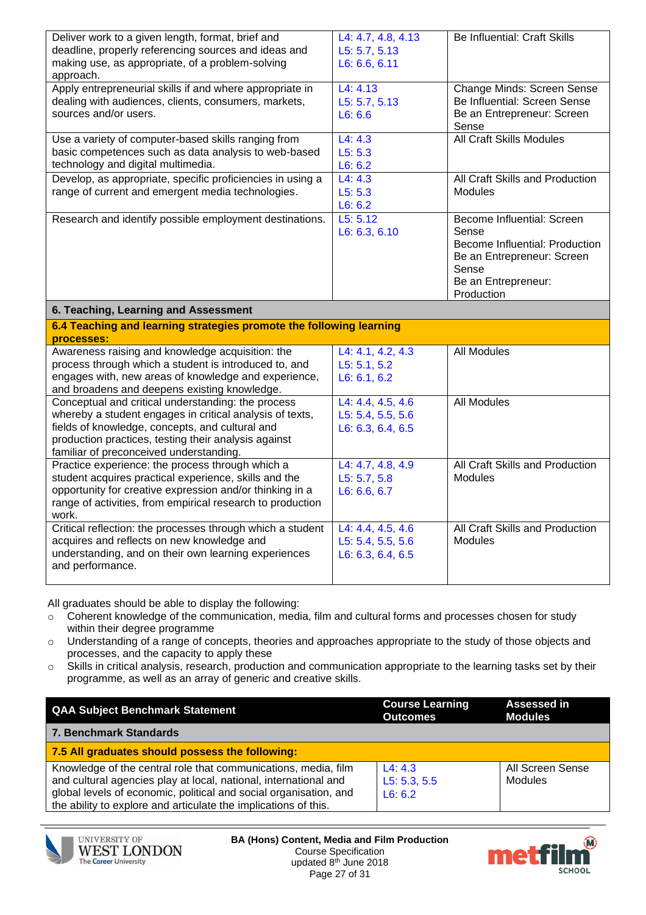| deadline, properly referencing sources and ideas and<br>making use, as appropriate, of a problem-solving<br>L6: 6.6, 6.11<br>approach.<br>Apply entrepreneurial skills if and where appropriate in<br>L4:4.13<br><b>Change Minds: Screen Sense</b><br>dealing with audiences, clients, consumers, markets,<br>Be Influential: Screen Sense<br>L5: 5.7, 5.13<br>sources and/or users.<br>Be an Entrepreneur: Screen<br>L6:6.6<br>Sense<br><b>All Craft Skills Modules</b><br>Use a variety of computer-based skills ranging from<br>L4:4.3<br>basic competences such as data analysis to web-based<br>L5: 5.3<br>technology and digital multimedia.<br>L6: 6.2<br>L4:4.3<br>All Craft Skills and Production<br>Develop, as appropriate, specific proficiencies in using a<br>range of current and emergent media technologies.<br>L5: 5.3<br><b>Modules</b><br>L6: 6.2<br>Research and identify possible employment destinations.<br>L5: 5.12<br>Become Influential: Screen<br>Sense<br>L6: 6.3, 6.10<br>Become Influential: Production<br>Be an Entrepreneur: Screen<br>Sense<br>Be an Entrepreneur:<br>Production<br>6. Teaching, Learning and Assessment<br>6.4 Teaching and learning strategies promote the following learning<br>processes: |                                                            | L4: 4.7, 4.8, 4.13<br>L5: 5.7, 5.13 | Be Influential: Craft Skills    |
|-------------------------------------------------------------------------------------------------------------------------------------------------------------------------------------------------------------------------------------------------------------------------------------------------------------------------------------------------------------------------------------------------------------------------------------------------------------------------------------------------------------------------------------------------------------------------------------------------------------------------------------------------------------------------------------------------------------------------------------------------------------------------------------------------------------------------------------------------------------------------------------------------------------------------------------------------------------------------------------------------------------------------------------------------------------------------------------------------------------------------------------------------------------------------------------------------------------------------------------------------|------------------------------------------------------------|-------------------------------------|---------------------------------|
|                                                                                                                                                                                                                                                                                                                                                                                                                                                                                                                                                                                                                                                                                                                                                                                                                                                                                                                                                                                                                                                                                                                                                                                                                                                 |                                                            |                                     |                                 |
|                                                                                                                                                                                                                                                                                                                                                                                                                                                                                                                                                                                                                                                                                                                                                                                                                                                                                                                                                                                                                                                                                                                                                                                                                                                 |                                                            |                                     |                                 |
|                                                                                                                                                                                                                                                                                                                                                                                                                                                                                                                                                                                                                                                                                                                                                                                                                                                                                                                                                                                                                                                                                                                                                                                                                                                 |                                                            |                                     |                                 |
|                                                                                                                                                                                                                                                                                                                                                                                                                                                                                                                                                                                                                                                                                                                                                                                                                                                                                                                                                                                                                                                                                                                                                                                                                                                 |                                                            |                                     |                                 |
|                                                                                                                                                                                                                                                                                                                                                                                                                                                                                                                                                                                                                                                                                                                                                                                                                                                                                                                                                                                                                                                                                                                                                                                                                                                 |                                                            |                                     |                                 |
|                                                                                                                                                                                                                                                                                                                                                                                                                                                                                                                                                                                                                                                                                                                                                                                                                                                                                                                                                                                                                                                                                                                                                                                                                                                 |                                                            |                                     |                                 |
|                                                                                                                                                                                                                                                                                                                                                                                                                                                                                                                                                                                                                                                                                                                                                                                                                                                                                                                                                                                                                                                                                                                                                                                                                                                 |                                                            |                                     |                                 |
|                                                                                                                                                                                                                                                                                                                                                                                                                                                                                                                                                                                                                                                                                                                                                                                                                                                                                                                                                                                                                                                                                                                                                                                                                                                 |                                                            |                                     |                                 |
|                                                                                                                                                                                                                                                                                                                                                                                                                                                                                                                                                                                                                                                                                                                                                                                                                                                                                                                                                                                                                                                                                                                                                                                                                                                 |                                                            |                                     |                                 |
|                                                                                                                                                                                                                                                                                                                                                                                                                                                                                                                                                                                                                                                                                                                                                                                                                                                                                                                                                                                                                                                                                                                                                                                                                                                 |                                                            |                                     |                                 |
|                                                                                                                                                                                                                                                                                                                                                                                                                                                                                                                                                                                                                                                                                                                                                                                                                                                                                                                                                                                                                                                                                                                                                                                                                                                 |                                                            |                                     |                                 |
|                                                                                                                                                                                                                                                                                                                                                                                                                                                                                                                                                                                                                                                                                                                                                                                                                                                                                                                                                                                                                                                                                                                                                                                                                                                 |                                                            |                                     |                                 |
|                                                                                                                                                                                                                                                                                                                                                                                                                                                                                                                                                                                                                                                                                                                                                                                                                                                                                                                                                                                                                                                                                                                                                                                                                                                 |                                                            |                                     |                                 |
|                                                                                                                                                                                                                                                                                                                                                                                                                                                                                                                                                                                                                                                                                                                                                                                                                                                                                                                                                                                                                                                                                                                                                                                                                                                 |                                                            |                                     |                                 |
|                                                                                                                                                                                                                                                                                                                                                                                                                                                                                                                                                                                                                                                                                                                                                                                                                                                                                                                                                                                                                                                                                                                                                                                                                                                 |                                                            |                                     |                                 |
|                                                                                                                                                                                                                                                                                                                                                                                                                                                                                                                                                                                                                                                                                                                                                                                                                                                                                                                                                                                                                                                                                                                                                                                                                                                 |                                                            |                                     |                                 |
|                                                                                                                                                                                                                                                                                                                                                                                                                                                                                                                                                                                                                                                                                                                                                                                                                                                                                                                                                                                                                                                                                                                                                                                                                                                 |                                                            |                                     |                                 |
|                                                                                                                                                                                                                                                                                                                                                                                                                                                                                                                                                                                                                                                                                                                                                                                                                                                                                                                                                                                                                                                                                                                                                                                                                                                 |                                                            |                                     |                                 |
| Awareness raising and knowledge acquisition: the<br><b>All Modules</b><br>L4: 4.1, 4.2, 4.3                                                                                                                                                                                                                                                                                                                                                                                                                                                                                                                                                                                                                                                                                                                                                                                                                                                                                                                                                                                                                                                                                                                                                     |                                                            |                                     |                                 |
| process through which a student is introduced to, and<br>L5: 5.1, 5.2                                                                                                                                                                                                                                                                                                                                                                                                                                                                                                                                                                                                                                                                                                                                                                                                                                                                                                                                                                                                                                                                                                                                                                           |                                                            |                                     |                                 |
| L6: 6.1, 6.2                                                                                                                                                                                                                                                                                                                                                                                                                                                                                                                                                                                                                                                                                                                                                                                                                                                                                                                                                                                                                                                                                                                                                                                                                                    |                                                            |                                     |                                 |
|                                                                                                                                                                                                                                                                                                                                                                                                                                                                                                                                                                                                                                                                                                                                                                                                                                                                                                                                                                                                                                                                                                                                                                                                                                                 | engages with, new areas of knowledge and experience,       |                                     |                                 |
|                                                                                                                                                                                                                                                                                                                                                                                                                                                                                                                                                                                                                                                                                                                                                                                                                                                                                                                                                                                                                                                                                                                                                                                                                                                 | and broadens and deepens existing knowledge.               |                                     |                                 |
|                                                                                                                                                                                                                                                                                                                                                                                                                                                                                                                                                                                                                                                                                                                                                                                                                                                                                                                                                                                                                                                                                                                                                                                                                                                 | Conceptual and critical understanding: the process         | L4: 4.4, 4.5, 4.6                   | <b>All Modules</b>              |
|                                                                                                                                                                                                                                                                                                                                                                                                                                                                                                                                                                                                                                                                                                                                                                                                                                                                                                                                                                                                                                                                                                                                                                                                                                                 | whereby a student engages in critical analysis of texts,   | L5: 5.4, 5.5, 5.6                   |                                 |
|                                                                                                                                                                                                                                                                                                                                                                                                                                                                                                                                                                                                                                                                                                                                                                                                                                                                                                                                                                                                                                                                                                                                                                                                                                                 | fields of knowledge, concepts, and cultural and            | L6: 6.3, 6.4, 6.5                   |                                 |
|                                                                                                                                                                                                                                                                                                                                                                                                                                                                                                                                                                                                                                                                                                                                                                                                                                                                                                                                                                                                                                                                                                                                                                                                                                                 | production practices, testing their analysis against       |                                     |                                 |
|                                                                                                                                                                                                                                                                                                                                                                                                                                                                                                                                                                                                                                                                                                                                                                                                                                                                                                                                                                                                                                                                                                                                                                                                                                                 | familiar of preconceived understanding.                    |                                     |                                 |
|                                                                                                                                                                                                                                                                                                                                                                                                                                                                                                                                                                                                                                                                                                                                                                                                                                                                                                                                                                                                                                                                                                                                                                                                                                                 | Practice experience: the process through which a           | L4: 4.7, 4.8, 4.9                   | All Craft Skills and Production |
| range of activities, from empirical research to production                                                                                                                                                                                                                                                                                                                                                                                                                                                                                                                                                                                                                                                                                                                                                                                                                                                                                                                                                                                                                                                                                                                                                                                      | student acquires practical experience, skills and the      | L5: 5.7, 5.8                        | Modules                         |
| work.                                                                                                                                                                                                                                                                                                                                                                                                                                                                                                                                                                                                                                                                                                                                                                                                                                                                                                                                                                                                                                                                                                                                                                                                                                           | opportunity for creative expression and/or thinking in a   | L6: 6.6, 6.7                        |                                 |
|                                                                                                                                                                                                                                                                                                                                                                                                                                                                                                                                                                                                                                                                                                                                                                                                                                                                                                                                                                                                                                                                                                                                                                                                                                                 |                                                            |                                     |                                 |
|                                                                                                                                                                                                                                                                                                                                                                                                                                                                                                                                                                                                                                                                                                                                                                                                                                                                                                                                                                                                                                                                                                                                                                                                                                                 | Critical reflection: the processes through which a student | $\overline{L4}$ : 4.4, 4.5, 4.6     | All Craft Skills and Production |
|                                                                                                                                                                                                                                                                                                                                                                                                                                                                                                                                                                                                                                                                                                                                                                                                                                                                                                                                                                                                                                                                                                                                                                                                                                                 | acquires and reflects on new knowledge and                 | L5: 5.4, 5.5, 5.6                   | Modules                         |
| and performance.                                                                                                                                                                                                                                                                                                                                                                                                                                                                                                                                                                                                                                                                                                                                                                                                                                                                                                                                                                                                                                                                                                                                                                                                                                | understanding, and on their own learning experiences       | L6: 6.3, 6.4, 6.5                   |                                 |

All graduates should be able to display the following:

- o Coherent knowledge of the communication, media, film and cultural forms and processes chosen for study within their degree programme
- o Understanding of a range of concepts, theories and approaches appropriate to the study of those objects and processes, and the capacity to apply these
- o Skills in critical analysis, research, production and communication appropriate to the learning tasks set by their programme, as well as an array of generic and creative skills.

| <b>QAA Subject Benchmark Statement</b>                                                                                                                                                                                                                                     | <b>Course Learning</b><br><b>Outcomes</b> | <b>Assessed in</b><br><b>Modules</b> |
|----------------------------------------------------------------------------------------------------------------------------------------------------------------------------------------------------------------------------------------------------------------------------|-------------------------------------------|--------------------------------------|
| 7. Benchmark Standards                                                                                                                                                                                                                                                     |                                           |                                      |
| 7.5 All graduates should possess the following:                                                                                                                                                                                                                            |                                           |                                      |
| Knowledge of the central role that communications, media, film<br>and cultural agencies play at local, national, international and<br>global levels of economic, political and social organisation, and<br>the ability to explore and articulate the implications of this. | L4:4.3<br>L5: 5.3, 5.5<br>L6: 6.2         | All Screen Sense<br>Modules          |



**BA (Hons) Content, Media and Film Production** Course Specification updated 8<sup>th</sup> June 2018 Page 27 of 31

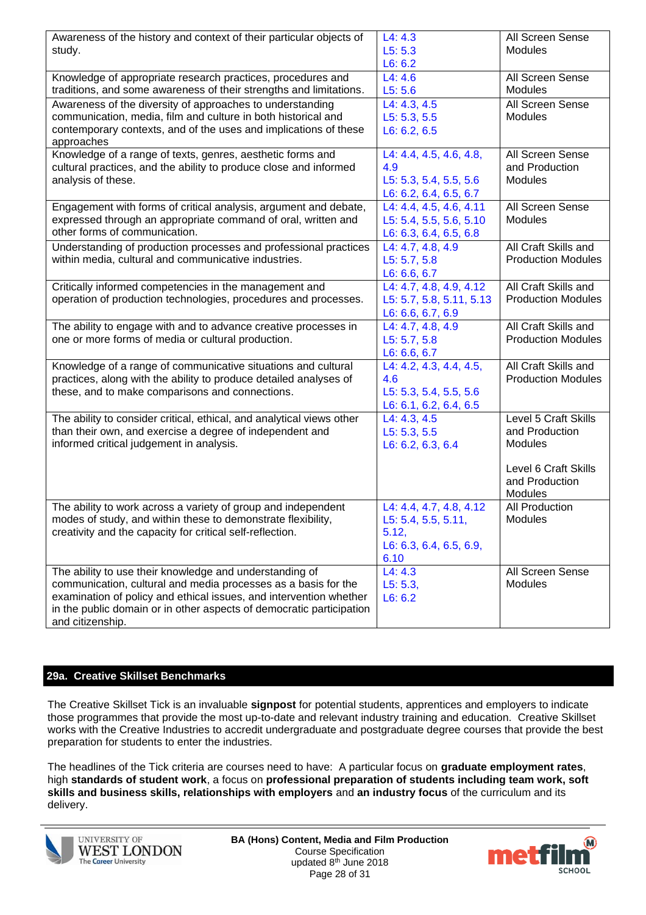| Awareness of the history and context of their particular objects of                                                                        | L4:4.3                               | All Screen Sense          |
|--------------------------------------------------------------------------------------------------------------------------------------------|--------------------------------------|---------------------------|
| study.                                                                                                                                     | L5: 5.3                              | <b>Modules</b>            |
|                                                                                                                                            | L6: 6.2                              |                           |
| Knowledge of appropriate research practices, procedures and                                                                                | L4:4.6                               | All Screen Sense          |
| traditions, and some awareness of their strengths and limitations.                                                                         | L5:5.6                               | <b>Modules</b>            |
| Awareness of the diversity of approaches to understanding                                                                                  | L4: 4.3, 4.5                         | All Screen Sense          |
| communication, media, film and culture in both historical and                                                                              | L5: 5.3, 5.5                         | <b>Modules</b>            |
| contemporary contexts, and of the uses and implications of these                                                                           | L6: 6.2, 6.5                         |                           |
| approaches<br>Knowledge of a range of texts, genres, aesthetic forms and                                                                   | L4: 4.4, 4.5, 4.6, 4.8,              | All Screen Sense          |
| cultural practices, and the ability to produce close and informed                                                                          | 4.9                                  | and Production            |
| analysis of these.                                                                                                                         | L5: 5.3, 5.4, 5.5, 5.6               | Modules                   |
|                                                                                                                                            | L6: 6.2, 6.4, 6.5, 6.7               |                           |
| Engagement with forms of critical analysis, argument and debate,                                                                           | L4: 4.4, 4.5, 4.6, 4.11              | All Screen Sense          |
| expressed through an appropriate command of oral, written and                                                                              | L5: 5.4, 5.5, 5.6, 5.10              | Modules                   |
| other forms of communication.                                                                                                              | L6: 6.3, 6.4, 6.5, 6.8               |                           |
| Understanding of production processes and professional practices                                                                           | L4: 4.7, 4.8, 4.9                    | All Craft Skills and      |
| within media, cultural and communicative industries.                                                                                       | L5: 5.7, 5.8                         | <b>Production Modules</b> |
|                                                                                                                                            | L6: 6.6, 6.7                         |                           |
| Critically informed competencies in the management and                                                                                     | $\overline{L4: 4.7, 4.8, 4.9, 4.12}$ | All Craft Skills and      |
| operation of production technologies, procedures and processes.                                                                            | L5: 5.7, 5.8, 5.11, 5.13             | <b>Production Modules</b> |
|                                                                                                                                            | L6: 6.6, 6.7, 6.9                    |                           |
| The ability to engage with and to advance creative processes in                                                                            | $\overline{L4}$ : 4.7, 4.8, 4.9      | All Craft Skills and      |
| one or more forms of media or cultural production.                                                                                         | L5: 5.7, 5.8                         | <b>Production Modules</b> |
|                                                                                                                                            | L6: 6.6, 6.7                         |                           |
| Knowledge of a range of communicative situations and cultural                                                                              | L4: 4.2, 4.3, 4.4, 4.5,              | All Craft Skills and      |
| practices, along with the ability to produce detailed analyses of                                                                          | 4.6                                  | <b>Production Modules</b> |
| these, and to make comparisons and connections.                                                                                            | L5: 5.3, 5.4, 5.5, 5.6               |                           |
|                                                                                                                                            | L6: 6.1, 6.2, 6.4, 6.5               |                           |
| The ability to consider critical, ethical, and analytical views other                                                                      | L4: 4.3, 4.5                         | Level 5 Craft Skills      |
| than their own, and exercise a degree of independent and                                                                                   | L5: 5.3, 5.5                         | and Production            |
| informed critical judgement in analysis.                                                                                                   | L6: 6.2, 6.3, 6.4                    | Modules                   |
|                                                                                                                                            |                                      | Level 6 Craft Skills      |
|                                                                                                                                            |                                      | and Production            |
|                                                                                                                                            |                                      | Modules                   |
| The ability to work across a variety of group and independent                                                                              | L4: 4.4, 4.7, 4.8, 4.12              | <b>All Production</b>     |
| modes of study, and within these to demonstrate flexibility,                                                                               | L5: 5.4, 5.5, 5.11,                  | Modules                   |
| creativity and the capacity for critical self-reflection.                                                                                  | 5.12,                                |                           |
|                                                                                                                                            | L6: 6.3, 6.4, 6.5, 6.9,              |                           |
|                                                                                                                                            | 6.10                                 |                           |
| The ability to use their knowledge and understanding of                                                                                    | L4: 4.3                              | All Screen Sense          |
| communication, cultural and media processes as a basis for the                                                                             | L5: 5.3,                             | <b>Modules</b>            |
| examination of policy and ethical issues, and intervention whether<br>in the public domain or in other aspects of democratic participation | L6: 6.2                              |                           |
| and citizenship.                                                                                                                           |                                      |                           |

### **29a. Creative Skillset Benchmarks**

The Creative Skillset Tick is an invaluable **signpost** for potential students, apprentices and employers to indicate those programmes that provide the most up-to-date and relevant industry training and education. Creative Skillset works with the Creative Industries to accredit undergraduate and postgraduate degree courses that provide the best preparation for students to enter the industries.

The headlines of the Tick criteria are courses need to have: A particular focus on **graduate employment rates**, high **standards of student work**, a focus on **professional preparation of students including team work, soft skills and business skills, relationships with employers** and **an industry focus** of the curriculum and its delivery.



**BA (Hons) Content, Media and Film Production** Course Specification updated 8<sup>th</sup> June 2018 Page 28 of 31

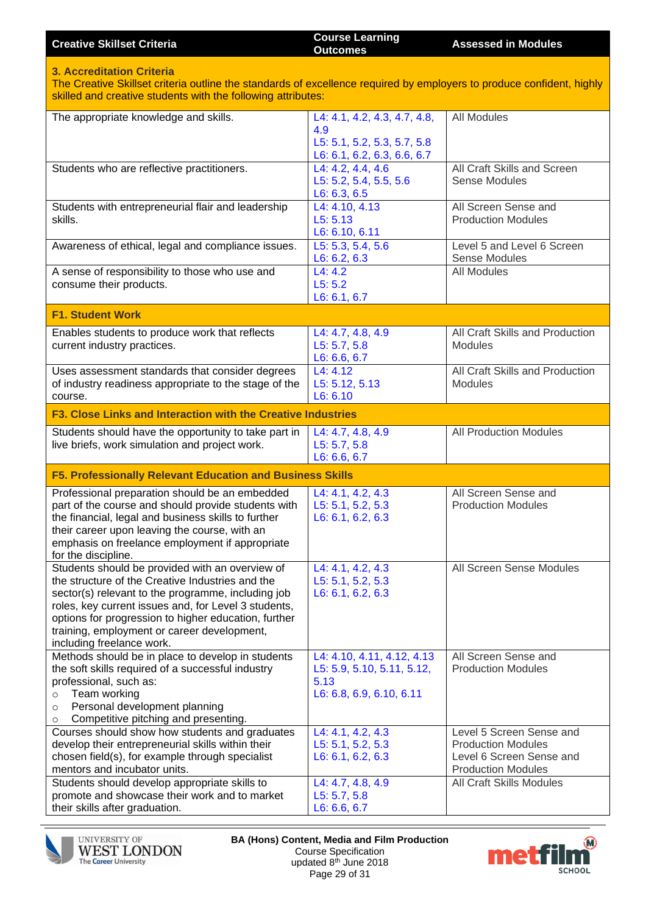| <b>Creative Skillset Criteria</b>                                                                                                                                                                                                                                                                                                                     | <b>Course Learning</b><br><b>Outcomes</b>                                                         | <b>Assessed in Modules</b>                                                                                     |  |  |
|-------------------------------------------------------------------------------------------------------------------------------------------------------------------------------------------------------------------------------------------------------------------------------------------------------------------------------------------------------|---------------------------------------------------------------------------------------------------|----------------------------------------------------------------------------------------------------------------|--|--|
| <b>3. Accreditation Criteria</b><br>The Creative Skillset criteria outline the standards of excellence required by employers to produce confident, highly<br>skilled and creative students with the following attributes:                                                                                                                             |                                                                                                   |                                                                                                                |  |  |
| The appropriate knowledge and skills.                                                                                                                                                                                                                                                                                                                 | L4: 4.1, 4.2, 4.3, 4.7, 4.8,<br>4.9<br>L5: 5.1, 5.2, 5.3, 5.7, 5.8<br>L6: 6.1, 6.2, 6.3, 6.6, 6.7 | <b>All Modules</b>                                                                                             |  |  |
| Students who are reflective practitioners.                                                                                                                                                                                                                                                                                                            | L4: 4.2, 4.4, 4.6<br>L5: 5.2, 5.4, 5.5, 5.6<br>L6: 6.3, 6.5                                       | All Craft Skills and Screen<br><b>Sense Modules</b>                                                            |  |  |
| Students with entrepreneurial flair and leadership<br>skills.                                                                                                                                                                                                                                                                                         | L4: 4.10, 4.13<br>L5: 5.13<br>L6: 6.10, 6.11                                                      | All Screen Sense and<br><b>Production Modules</b>                                                              |  |  |
| Awareness of ethical, legal and compliance issues.                                                                                                                                                                                                                                                                                                    | L5: 5.3, 5.4, 5.6<br>L6: 6.2, 6.3                                                                 | Level 5 and Level 6 Screen<br>Sense Modules                                                                    |  |  |
| A sense of responsibility to those who use and<br>consume their products.                                                                                                                                                                                                                                                                             | L4:4.2<br>L5: 5.2<br>L6: 6.1, 6.7                                                                 | <b>All Modules</b>                                                                                             |  |  |
| <b>F1. Student Work</b>                                                                                                                                                                                                                                                                                                                               |                                                                                                   |                                                                                                                |  |  |
| Enables students to produce work that reflects<br>current industry practices.                                                                                                                                                                                                                                                                         | L4: 4.7, 4.8, 4.9<br>L5: 5.7, 5.8<br>L6: 6.6, 6.7                                                 | All Craft Skills and Production<br><b>Modules</b>                                                              |  |  |
| Uses assessment standards that consider degrees<br>of industry readiness appropriate to the stage of the<br>course.                                                                                                                                                                                                                                   | L4: 4.12<br>L5: 5.12, 5.13<br>L6: 6.10                                                            | All Craft Skills and Production<br><b>Modules</b>                                                              |  |  |
| F3. Close Links and Interaction with the Creative Industries                                                                                                                                                                                                                                                                                          |                                                                                                   |                                                                                                                |  |  |
| Students should have the opportunity to take part in<br>live briefs, work simulation and project work.                                                                                                                                                                                                                                                | L4: 4.7, 4.8, 4.9<br>L5: 5.7, 5.8<br>L6: 6.6, 6.7                                                 | <b>All Production Modules</b>                                                                                  |  |  |
| F5. Professionally Relevant Education and Business Skills                                                                                                                                                                                                                                                                                             |                                                                                                   |                                                                                                                |  |  |
| Professional preparation should be an embedded<br>part of the course and should provide students with<br>the financial, legal and business skills to further<br>their career upon leaving the course, with an<br>emphasis on freelance employment if appropriate<br>for the discipline.                                                               | L4: $4.1, 4.2, 4.3$<br>L5: 5.1, 5.2, 5.3<br>L6: 6.1, 6.2, 6.3                                     | All Screen Sense and<br><b>Production Modules</b>                                                              |  |  |
| Students should be provided with an overview of<br>the structure of the Creative Industries and the<br>sector(s) relevant to the programme, including job<br>roles, key current issues and, for Level 3 students,<br>options for progression to higher education, further<br>training, employment or career development,<br>including freelance work. | L4: 4.1, 4.2, 4.3<br>L5: 5.1, 5.2, 5.3<br>L6: 6.1, 6.2, 6.3                                       | All Screen Sense Modules                                                                                       |  |  |
| Methods should be in place to develop in students<br>the soft skills required of a successful industry<br>professional, such as:<br>Team working<br>$\circ$<br>Personal development planning<br>O<br>Competitive pitching and presenting.<br>O                                                                                                        | L4: 4.10, 4.11, 4.12, 4.13<br>L5: 5.9, 5.10, 5.11, 5.12,<br>5.13<br>L6: 6.8, 6.9, 6.10, 6.11      | All Screen Sense and<br><b>Production Modules</b>                                                              |  |  |
| Courses should show how students and graduates<br>develop their entrepreneurial skills within their<br>chosen field(s), for example through specialist<br>mentors and incubator units.                                                                                                                                                                | L4: 4.1, 4.2, 4.3<br>L5: 5.1, 5.2, 5.3<br>L6: 6.1, 6.2, 6.3                                       | Level 5 Screen Sense and<br><b>Production Modules</b><br>Level 6 Screen Sense and<br><b>Production Modules</b> |  |  |
| Students should develop appropriate skills to<br>promote and showcase their work and to market<br>their skills after graduation.                                                                                                                                                                                                                      | L4: 4.7, 4.8, 4.9<br>L5: 5.7, 5.8<br>L6: 6.6, 6.7                                                 | All Craft Skills Modules                                                                                       |  |  |



**BA (Hons) Content, Media and Film Production** Course Specification updated 8<sup>th</sup> June 2018 Page 29 of 31

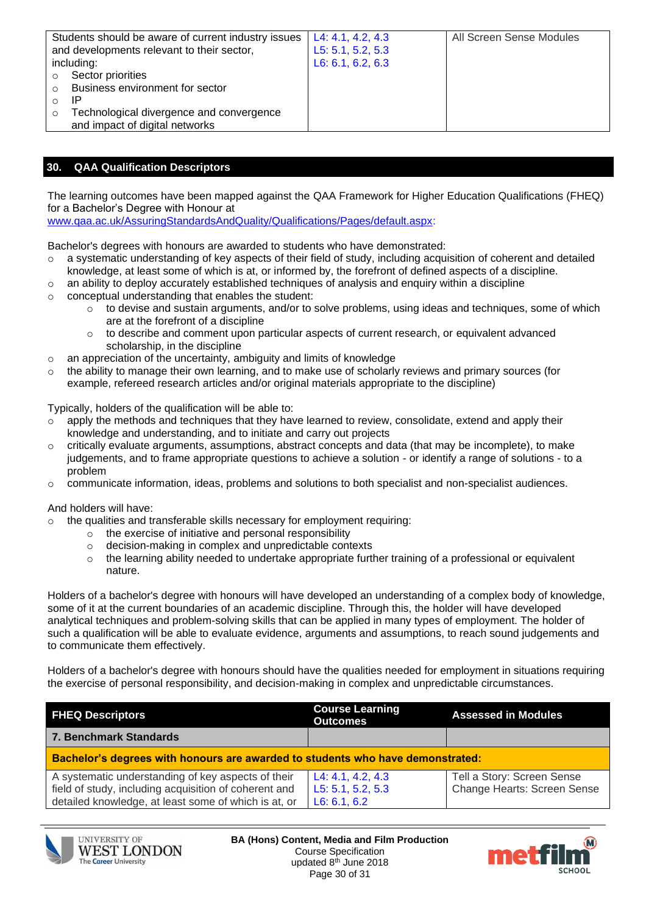|          | Students should be aware of current industry issues | L4: 4.1, 4.2, 4.3 | All Screen Sense Modules |
|----------|-----------------------------------------------------|-------------------|--------------------------|
|          | and developments relevant to their sector,          | L5: 5.1, 5.2, 5.3 |                          |
|          | including:                                          | L6: 6.1, 6.2, 6.3 |                          |
| $\circ$  | Sector priorities                                   |                   |                          |
| $\Omega$ | Business environment for sector                     |                   |                          |
|          | IP                                                  |                   |                          |
| $\circ$  | Technological divergence and convergence            |                   |                          |
|          | and impact of digital networks                      |                   |                          |

# **30. QAA Qualification Descriptors**

The learning outcomes have been mapped against the QAA Framework for Higher Education Qualifications (FHEQ) for a Bachelor's Degree with Honour at

[www.qaa.ac.uk/AssuringStandardsAndQuality/Qualifications/Pages/default.aspx:](http://www.qaa.ac.uk/AssuringStandardsAndQuality/Qualifications/Pages/default.aspx)

Bachelor's degrees with honours are awarded to students who have demonstrated:

- $\circ$  a systematic understanding of key aspects of their field of study, including acquisition of coherent and detailed knowledge, at least some of which is at, or informed by, the forefront of defined aspects of a discipline.
- $\circ$  an ability to deploy accurately established techniques of analysis and enquiry within a discipline
- o conceptual understanding that enables the student:
	- $\circ$  to devise and sustain arguments, and/or to solve problems, using ideas and techniques, some of which are at the forefront of a discipline
	- $\circ$  to describe and comment upon particular aspects of current research, or equivalent advanced scholarship, in the discipline
- o an appreciation of the uncertainty, ambiguity and limits of knowledge
- $\circ$  the ability to manage their own learning, and to make use of scholarly reviews and primary sources (for example, refereed research articles and/or original materials appropriate to the discipline)

Typically, holders of the qualification will be able to:

- $\circ$  apply the methods and techniques that they have learned to review, consolidate, extend and apply their knowledge and understanding, and to initiate and carry out projects
- $\circ$  critically evaluate arguments, assumptions, abstract concepts and data (that may be incomplete), to make judgements, and to frame appropriate questions to achieve a solution - or identify a range of solutions - to a problem
- $\circ$  communicate information, ideas, problems and solutions to both specialist and non-specialist audiences.

And holders will have:

- o the qualities and transferable skills necessary for employment requiring:
	- o the exercise of initiative and personal responsibility
	- o decision-making in complex and unpredictable contexts
	- $\circ$  the learning ability needed to undertake appropriate further training of a professional or equivalent nature.

Holders of a bachelor's degree with honours will have developed an understanding of a complex body of knowledge, some of it at the current boundaries of an academic discipline. Through this, the holder will have developed analytical techniques and problem-solving skills that can be applied in many types of employment. The holder of such a qualification will be able to evaluate evidence, arguments and assumptions, to reach sound judgements and to communicate them effectively.

Holders of a bachelor's degree with honours should have the qualities needed for employment in situations requiring the exercise of personal responsibility, and decision-making in complex and unpredictable circumstances.

| <b>FHEQ Descriptors</b>                                                                                                                                             | <b>Course Learning</b><br><b>Outcomes</b>              | <b>Assessed in Modules</b>                                |  |
|---------------------------------------------------------------------------------------------------------------------------------------------------------------------|--------------------------------------------------------|-----------------------------------------------------------|--|
| 7. Benchmark Standards                                                                                                                                              |                                                        |                                                           |  |
| Bachelor's degrees with honours are awarded to students who have demonstrated:                                                                                      |                                                        |                                                           |  |
| A systematic understanding of key aspects of their<br>field of study, including acquisition of coherent and<br>detailed knowledge, at least some of which is at, or | L4: 4.1, 4.2, 4.3<br>L5: 5.1, 5.2, 5.3<br>L6: 6.1, 6.2 | Tell a Story: Screen Sense<br>Change Hearts: Screen Sense |  |



**BA (Hons) Content, Media and Film Production** Course Specification updated 8<sup>th</sup> June 2018 Page 30 of 31